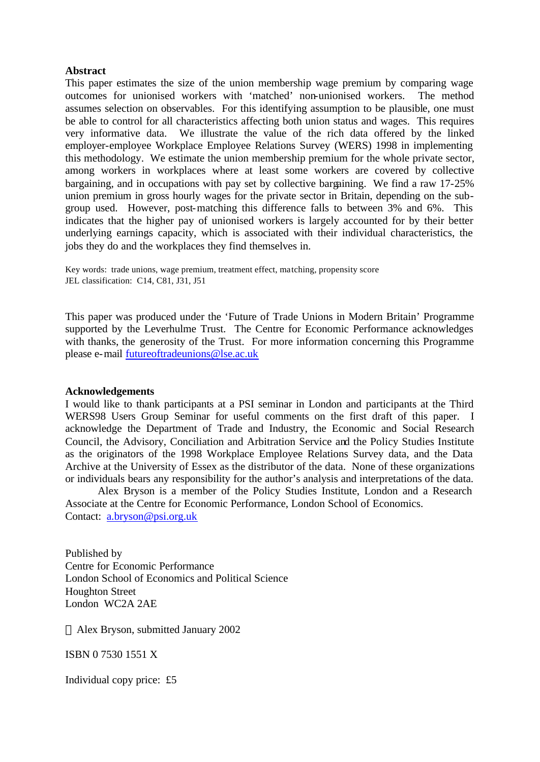#### **Abstract**

This paper estimates the size of the union membership wage premium by comparing wage outcomes for unionised workers with 'matched' non-unionised workers. The method assumes selection on observables. For this identifying assumption to be plausible, one must be able to control for all characteristics affecting both union status and wages. This requires very informative data. We illustrate the value of the rich data offered by the linked employer-employee Workplace Employee Relations Survey (WERS) 1998 in implementing this methodology. We estimate the union membership premium for the whole private sector, among workers in workplaces where at least some workers are covered by collective bargaining, and in occupations with pay set by collective bargaining. We find a raw 17-25% union premium in gross hourly wages for the private sector in Britain, depending on the subgroup used. However, post-matching this difference falls to between 3% and 6%. This indicates that the higher pay of unionised workers is largely accounted for by their better underlying earnings capacity, which is associated with their individual characteristics, the jobs they do and the workplaces they find themselves in.

Key words: trade unions, wage premium, treatment effect, matching, propensity score JEL classification: C14, C81, J31, J51

This paper was produced under the 'Future of Trade Unions in Modern Britain' Programme supported by the Leverhulme Trust. The Centre for Economic Performance acknowledges with thanks, the generosity of the Trust. For more information concerning this Programme please e-mail futureoftradeunions@lse.ac.uk

#### **Acknowledgements**

I would like to thank participants at a PSI seminar in London and participants at the Third WERS98 Users Group Seminar for useful comments on the first draft of this paper. I acknowledge the Department of Trade and Industry, the Economic and Social Research Council, the Advisory, Conciliation and Arbitration Service and the Policy Studies Institute as the originators of the 1998 Workplace Employee Relations Survey data, and the Data Archive at the University of Essex as the distributor of the data. None of these organizations or individuals bears any responsibility for the author's analysis and interpretations of the data.

Alex Bryson is a member of the Policy Studies Institute, London and a Research Associate at the Centre for Economic Performance, London School of Economics. Contact: a.bryson@psi.org.uk

Published by Centre for Economic Performance London School of Economics and Political Science Houghton Street London WC2A 2AE

Alex Bryson, submitted January 2002

ISBN 0 7530 1551 X

Individual copy price: £5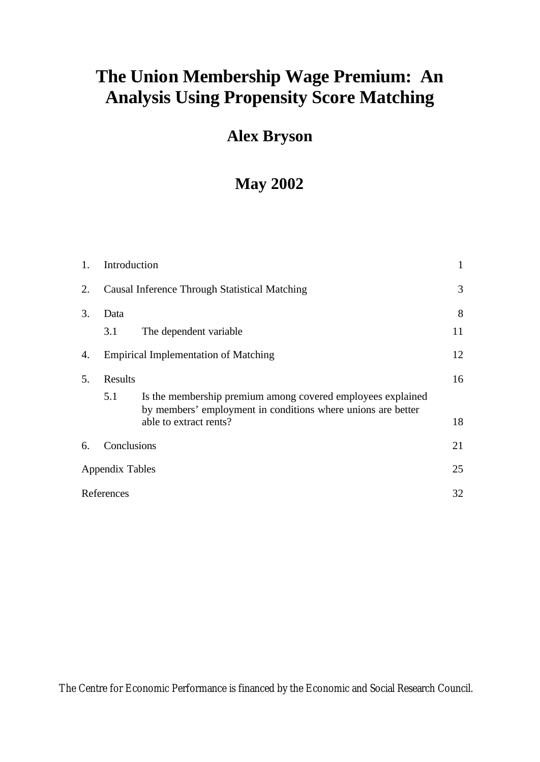# **The Union Membership Wage Premium: An Analysis Using Propensity Score Matching**

# **Alex Bryson**

# **May 2002**

| 1. | Introduction    |                                                                                                                                                       | 1  |
|----|-----------------|-------------------------------------------------------------------------------------------------------------------------------------------------------|----|
| 2. |                 | Causal Inference Through Statistical Matching                                                                                                         | 3  |
| 3. | Data            |                                                                                                                                                       | 8  |
|    | 3.1             | The dependent variable                                                                                                                                | 11 |
| 4. |                 | <b>Empirical Implementation of Matching</b>                                                                                                           | 12 |
| 5. | Results         |                                                                                                                                                       | 16 |
|    | 5.1             | Is the membership premium among covered employees explained<br>by members' employment in conditions where unions are better<br>able to extract rents? | 18 |
| 6. | Conclusions     |                                                                                                                                                       | 21 |
|    | Appendix Tables |                                                                                                                                                       | 25 |
|    | References      |                                                                                                                                                       | 32 |
|    |                 |                                                                                                                                                       |    |

The Centre for Economic Performance is financed by the Economic and Social Research Council.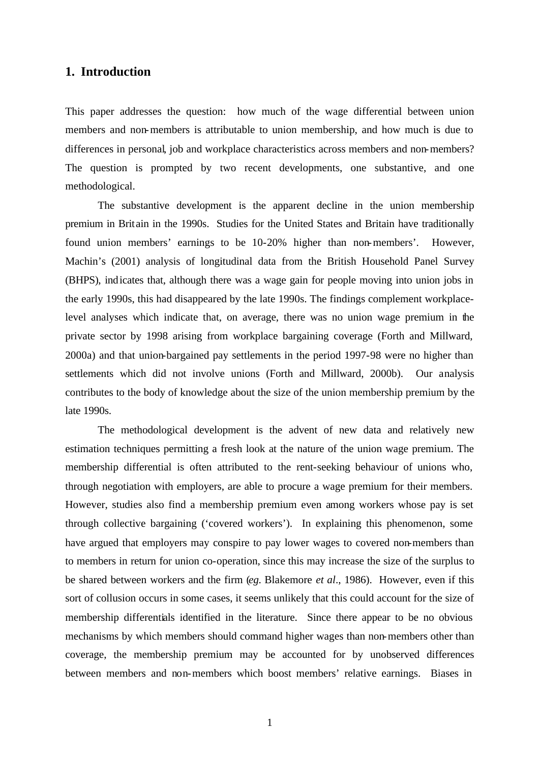# **1. Introduction**

This paper addresses the question: how much of the wage differential between union members and non-members is attributable to union membership, and how much is due to differences in personal, job and workplace characteristics across members and non-members? The question is prompted by two recent developments, one substantive, and one methodological.

The substantive development is the apparent decline in the union membership premium in Britain in the 1990s. Studies for the United States and Britain have traditionally found union members' earnings to be 10-20% higher than non-members'. However, Machin's (2001) analysis of longitudinal data from the British Household Panel Survey (BHPS), indicates that, although there was a wage gain for people moving into union jobs in the early 1990s, this had disappeared by the late 1990s. The findings complement workplacelevel analyses which indicate that, on average, there was no union wage premium in the private sector by 1998 arising from workplace bargaining coverage (Forth and Millward, 2000a) and that union-bargained pay settlements in the period 1997-98 were no higher than settlements which did not involve unions (Forth and Millward, 2000b). Our analysis contributes to the body of knowledge about the size of the union membership premium by the late 1990s.

The methodological development is the advent of new data and relatively new estimation techniques permitting a fresh look at the nature of the union wage premium. The membership differential is often attributed to the rent-seeking behaviour of unions who, through negotiation with employers, are able to procure a wage premium for their members. However, studies also find a membership premium even among workers whose pay is set through collective bargaining ('covered workers'). In explaining this phenomenon, some have argued that employers may conspire to pay lower wages to covered non-members than to members in return for union co-operation, since this may increase the size of the surplus to be shared between workers and the firm (*eg.* Blakemore *et al*., 1986). However, even if this sort of collusion occurs in some cases, it seems unlikely that this could account for the size of membership differentials identified in the literature. Since there appear to be no obvious mechanisms by which members should command higher wages than non-members other than coverage, the membership premium may be accounted for by unobserved differences between members and non-members which boost members' relative earnings. Biases in

1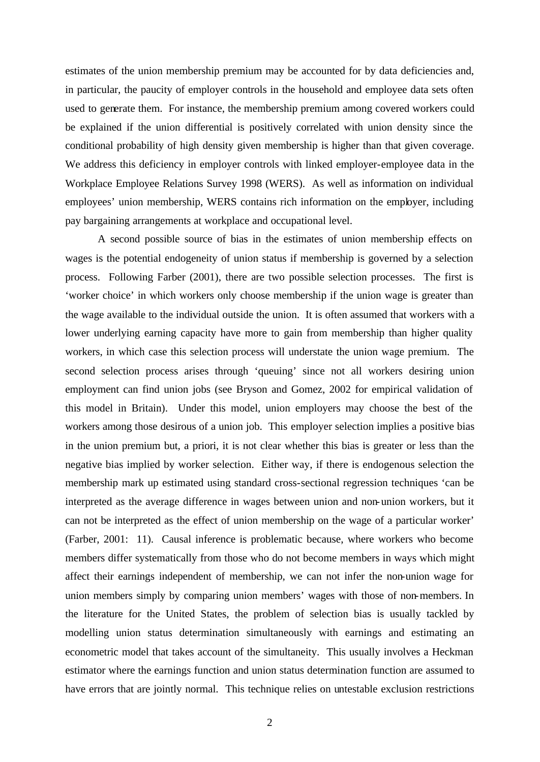estimates of the union membership premium may be accounted for by data deficiencies and, in particular, the paucity of employer controls in the household and employee data sets often used to generate them. For instance, the membership premium among covered workers could be explained if the union differential is positively correlated with union density since the conditional probability of high density given membership is higher than that given coverage. We address this deficiency in employer controls with linked employer-employee data in the Workplace Employee Relations Survey 1998 (WERS). As well as information on individual employees' union membership, WERS contains rich information on the employer, including pay bargaining arrangements at workplace and occupational level.

A second possible source of bias in the estimates of union membership effects on wages is the potential endogeneity of union status if membership is governed by a selection process. Following Farber (2001), there are two possible selection processes. The first is 'worker choice' in which workers only choose membership if the union wage is greater than the wage available to the individual outside the union. It is often assumed that workers with a lower underlying earning capacity have more to gain from membership than higher quality workers, in which case this selection process will understate the union wage premium. The second selection process arises through 'queuing' since not all workers desiring union employment can find union jobs (see Bryson and Gomez, 2002 for empirical validation of this model in Britain). Under this model, union employers may choose the best of the workers among those desirous of a union job. This employer selection implies a positive bias in the union premium but, a priori, it is not clear whether this bias is greater or less than the negative bias implied by worker selection. Either way, if there is endogenous selection the membership mark up estimated using standard cross-sectional regression techniques 'can be interpreted as the average difference in wages between union and non-union workers, but it can not be interpreted as the effect of union membership on the wage of a particular worker' (Farber, 2001: 11). Causal inference is problematic because, where workers who become members differ systematically from those who do not become members in ways which might affect their earnings independent of membership, we can not infer the non-union wage for union members simply by comparing union members' wages with those of non-members. In the literature for the United States, the problem of selection bias is usually tackled by modelling union status determination simultaneously with earnings and estimating an econometric model that takes account of the simultaneity. This usually involves a Heckman estimator where the earnings function and union status determination function are assumed to have errors that are jointly normal. This technique relies on untestable exclusion restrictions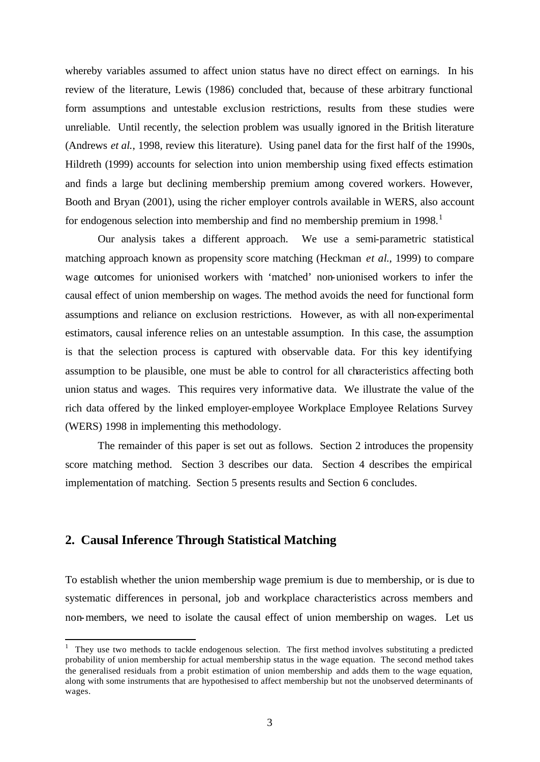whereby variables assumed to affect union status have no direct effect on earnings. In his review of the literature, Lewis (1986) concluded that, because of these arbitrary functional form assumptions and untestable exclusion restrictions, results from these studies were unreliable. Until recently, the selection problem was usually ignored in the British literature (Andrews *et al.*, 1998, review this literature). Using panel data for the first half of the 1990s, Hildreth (1999) accounts for selection into union membership using fixed effects estimation and finds a large but declining membership premium among covered workers. However, Booth and Bryan (2001), using the richer employer controls available in WERS, also account for endogenous selection into membership and find no membership premium in  $1998$ .<sup>1</sup>

Our analysis takes a different approach. We use a semi-parametric statistical matching approach known as propensity score matching (Heckman *et al*., 1999) to compare wage outcomes for unionised workers with 'matched' non-unionised workers to infer the causal effect of union membership on wages. The method avoids the need for functional form assumptions and reliance on exclusion restrictions. However, as with all non-experimental estimators, causal inference relies on an untestable assumption. In this case, the assumption is that the selection process is captured with observable data. For this key identifying assumption to be plausible, one must be able to control for all characteristics affecting both union status and wages. This requires very informative data. We illustrate the value of the rich data offered by the linked employer-employee Workplace Employee Relations Survey (WERS) 1998 in implementing this methodology.

The remainder of this paper is set out as follows. Section 2 introduces the propensity score matching method. Section 3 describes our data. Section 4 describes the empirical implementation of matching. Section 5 presents results and Section 6 concludes.

# **2. Causal Inference Through Statistical Matching**

 $\overline{a}$ 

To establish whether the union membership wage premium is due to membership, or is due to systematic differences in personal, job and workplace characteristics across members and non-members, we need to isolate the causal effect of union membership on wages. Let us

 $1$  They use two methods to tackle endogenous selection. The first method involves substituting a predicted probability of union membership for actual membership status in the wage equation. The second method takes the generalised residuals from a probit estimation of union membership and adds them to the wage equation, along with some instruments that are hypothesised to affect membership but not the unobserved determinants of wages.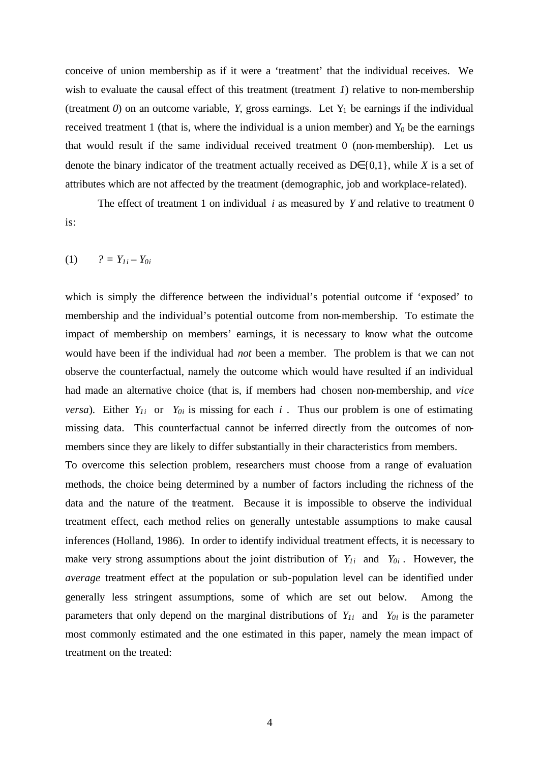conceive of union membership as if it were a 'treatment' that the individual receives. We wish to evaluate the causal effect of this treatment (treatment *1*) relative to non-membership (treatment  $0$ ) on an outcome variable, *Y*, gross earnings. Let  $Y_1$  be earnings if the individual received treatment 1 (that is, where the individual is a union member) and  $Y_0$  be the earnings that would result if the same individual received treatment 0 (non-membership). Let us denote the binary indicator of the treatment actually received as  $D \in \{0,1\}$ , while *X* is a set of attributes which are not affected by the treatment (demographic, job and workplace-related).

The effect of treatment 1 on individual *i* as measured by *Y* and relative to treatment 0 is:

 $(1)$   $? = Y_{1i} - Y_{0i}$ 

which is simply the difference between the individual's potential outcome if 'exposed' to membership and the individual's potential outcome from non-membership. To estimate the impact of membership on members' earnings, it is necessary to know what the outcome would have been if the individual had *not* been a member. The problem is that we can not observe the counterfactual, namely the outcome which would have resulted if an individual had made an alternative choice (that is, if members had chosen non-membership, and *vice versa*). Either  $Y_{1i}$  or  $Y_{0i}$  is missing for each *i*. Thus our problem is one of estimating missing data. This counterfactual cannot be inferred directly from the outcomes of nonmembers since they are likely to differ substantially in their characteristics from members.

To overcome this selection problem, researchers must choose from a range of evaluation methods, the choice being determined by a number of factors including the richness of the data and the nature of the treatment. Because it is impossible to observe the individual treatment effect, each method relies on generally untestable assumptions to make causal inferences (Holland, 1986). In order to identify individual treatment effects, it is necessary to make very strong assumptions about the joint distribution of  $Y_{1i}$  and  $Y_{0i}$ . However, the *average* treatment effect at the population or sub-population level can be identified under generally less stringent assumptions, some of which are set out below. Among the parameters that only depend on the marginal distributions of  $Y_{1i}$  and  $Y_{0i}$  is the parameter most commonly estimated and the one estimated in this paper, namely the mean impact of treatment on the treated: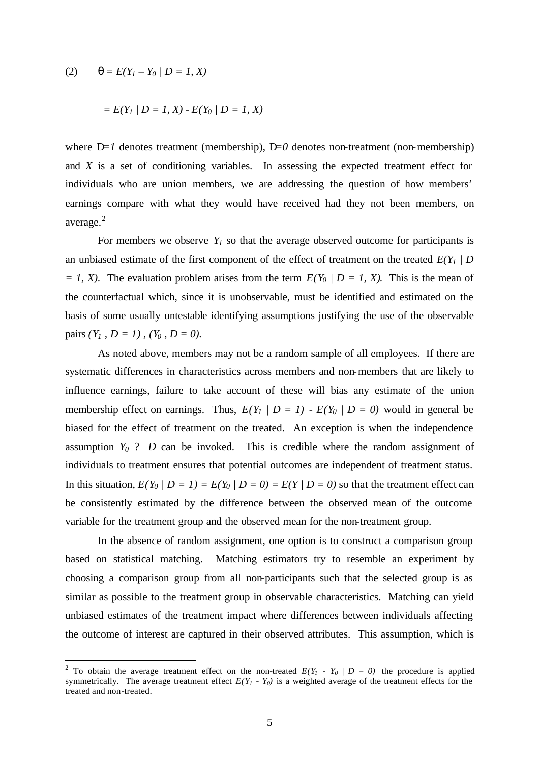(2) 
$$
q = E(Y_1 - Y_0 / D = 1, X)
$$

 $\overline{a}$ 

$$
= E(Y_1 | D = 1, X) - E(Y_0 | D = 1, X)
$$

where  $D=1$  denotes treatment (membership),  $D=0$  denotes non-treatment (non-membership) and *X* is a set of conditioning variables. In assessing the expected treatment effect for individuals who are union members, we are addressing the question of how members' earnings compare with what they would have received had they not been members, on average.<sup>2</sup>

For members we observe  $Y_I$  so that the average observed outcome for participants is an unbiased estimate of the first component of the effect of treatment on the treated  $E(Y_I \mid D)$  $= 1, X$ ). The evaluation problem arises from the term  $E(Y_0 | D = 1, X)$ . This is the mean of the counterfactual which, since it is unobservable, must be identified and estimated on the basis of some usually untestable identifying assumptions justifying the use of the observable pairs  $(Y_1, D = 1)$ ,  $(Y_0, D = 0)$ .

As noted above, members may not be a random sample of all employees. If there are systematic differences in characteristics across members and non-members that are likely to influence earnings, failure to take account of these will bias any estimate of the union membership effect on earnings. Thus,  $E(Y_I \mid D = I) - E(Y_0 \mid D = 0)$  would in general be biased for the effect of treatment on the treated. An exception is when the independence assumption  $Y_0$  ? *D* can be invoked. This is credible where the random assignment of individuals to treatment ensures that potential outcomes are independent of treatment status. In this situation,  $E(Y_0 \mid D = 1) = E(Y_0 \mid D = 0) = E(Y \mid D = 0)$  so that the treatment effect can be consistently estimated by the difference between the observed mean of the outcome variable for the treatment group and the observed mean for the non-treatment group.

In the absence of random assignment, one option is to construct a comparison group based on statistical matching. Matching estimators try to resemble an experiment by choosing a comparison group from all non-participants such that the selected group is as similar as possible to the treatment group in observable characteristics. Matching can yield unbiased estimates of the treatment impact where differences between individuals affecting the outcome of interest are captured in their observed attributes. This assumption, which is

<sup>&</sup>lt;sup>2</sup> To obtain the average treatment effect on the non-treated  $E(Y_I - Y_0 / D = 0)$  the procedure is applied symmetrically. The average treatment effect  $E(Y_I - Y_0)$  is a weighted average of the treatment effects for the treated and non-treated.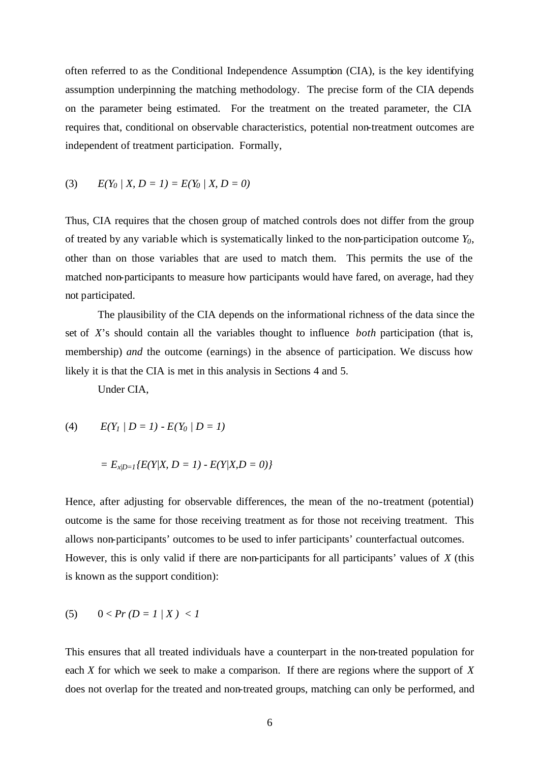often referred to as the Conditional Independence Assumption (CIA), is the key identifying assumption underpinning the matching methodology. The precise form of the CIA depends on the parameter being estimated. For the treatment on the treated parameter, the CIA requires that, conditional on observable characteristics, potential non-treatment outcomes are independent of treatment participation. Formally,

(3) 
$$
E(Y_0 | X, D = 1) = E(Y_0 | X, D = 0)
$$

Thus, CIA requires that the chosen group of matched controls does not differ from the group of treated by any variable which is systematically linked to the non-participation outcome *Y0*, other than on those variables that are used to match them. This permits the use of the matched non-participants to measure how participants would have fared, on average, had they not participated.

The plausibility of the CIA depends on the informational richness of the data since the set of *X*'s should contain all the variables thought to influence *both* participation (that is, membership) *and* the outcome (earnings) in the absence of participation. We discuss how likely it is that the CIA is met in this analysis in Sections 4 and 5.

Under CIA,

(4)  $E(Y_1 \mid D = 1) - E(Y_0 \mid D = 1)$ 

$$
= E_{x/D=1} \{ E(Y|X, D=1) - E(Y|X, D=0) \}
$$

Hence, after adjusting for observable differences, the mean of the no-treatment (potential) outcome is the same for those receiving treatment as for those not receiving treatment. This allows non-participants' outcomes to be used to infer participants' counterfactual outcomes. However, this is only valid if there are non-participants for all participants' values of *X* (this is known as the support condition):

$$
(5) \qquad 0 < Pr\left(D = 1 \mid X\right) < 1
$$

This ensures that all treated individuals have a counterpart in the non-treated population for each *X* for which we seek to make a comparison. If there are regions where the support of *X* does not overlap for the treated and non-treated groups, matching can only be performed, and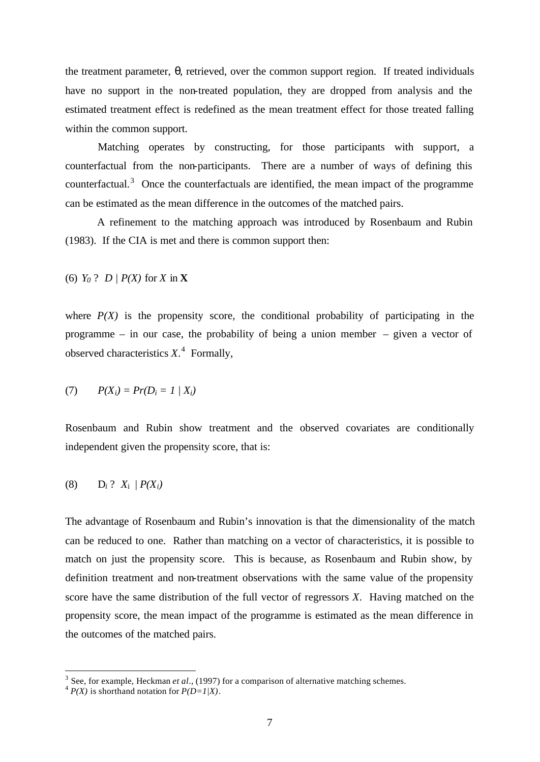the treatment parameter, *q*, retrieved, over the common support region. If treated individuals have no support in the non-treated population, they are dropped from analysis and the estimated treatment effect is redefined as the mean treatment effect for those treated falling within the common support.

Matching operates by constructing, for those participants with support, a counterfactual from the non-participants. There are a number of ways of defining this counterfactual.<sup>3</sup> Once the counterfactuals are identified, the mean impact of the programme can be estimated as the mean difference in the outcomes of the matched pairs.

A refinement to the matching approach was introduced by Rosenbaum and Rubin (1983). If the CIA is met and there is common support then:

(6) *Y<sup>0</sup>* ? *D | P(X)* for *X* in **X**

where  $P(X)$  is the propensity score, the conditional probability of participating in the programme – in our case, the probability of being a union member – given a vector of observed characteristics *X*. 4 Formally,

$$
(7) \qquad P(X_i) = Pr(D_i = 1 \mid X_i)
$$

Rosenbaum and Rubin show treatment and the observed covariates are conditionally independent given the propensity score, that is:

$$
(8) \qquad D_i ? \; X_i / P(X_i)
$$

The advantage of Rosenbaum and Rubin's innovation is that the dimensionality of the match can be reduced to one. Rather than matching on a vector of characteristics, it is possible to match on just the propensity score. This is because, as Rosenbaum and Rubin show, by definition treatment and non-treatment observations with the same value of the propensity score have the same distribution of the full vector of regressors *X*. Having matched on the propensity score, the mean impact of the programme is estimated as the mean difference in the outcomes of the matched pairs.

<sup>&</sup>lt;sup>3</sup> See, for example, Heckman *et al.*, (1997) for a comparison of alternative matching schemes.

 $^{4}P(X)$  is shorthand notation for  $P(D=1/X)$ .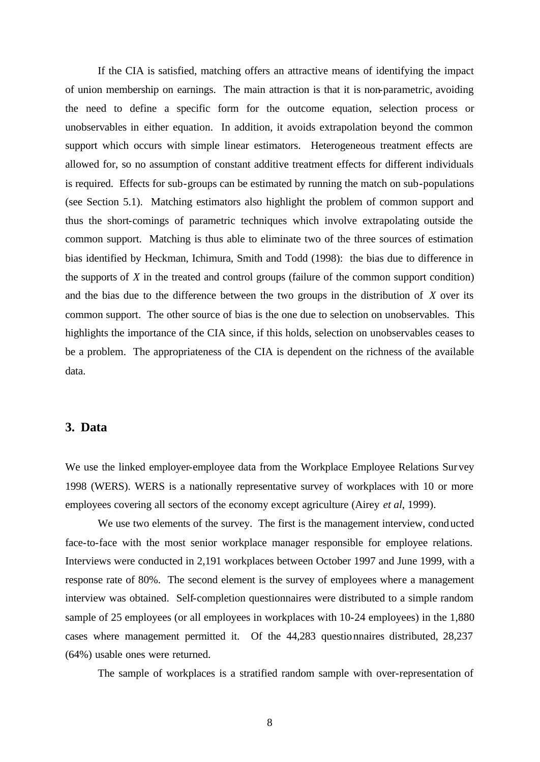If the CIA is satisfied, matching offers an attractive means of identifying the impact of union membership on earnings. The main attraction is that it is non-parametric, avoiding the need to define a specific form for the outcome equation, selection process or unobservables in either equation. In addition, it avoids extrapolation beyond the common support which occurs with simple linear estimators. Heterogeneous treatment effects are allowed for, so no assumption of constant additive treatment effects for different individuals is required. Effects for sub-groups can be estimated by running the match on sub-populations (see Section 5.1). Matching estimators also highlight the problem of common support and thus the short-comings of parametric techniques which involve extrapolating outside the common support. Matching is thus able to eliminate two of the three sources of estimation bias identified by Heckman, Ichimura, Smith and Todd (1998): the bias due to difference in the supports of *X* in the treated and control groups (failure of the common support condition) and the bias due to the difference between the two groups in the distribution of *X* over its common support. The other source of bias is the one due to selection on unobservables. This highlights the importance of the CIA since, if this holds, selection on unobservables ceases to be a problem. The appropriateness of the CIA is dependent on the richness of the available data.

#### **3. Data**

We use the linked employer-employee data from the Workplace Employee Relations Survey 1998 (WERS). WERS is a nationally representative survey of workplaces with 10 or more employees covering all sectors of the economy except agriculture (Airey *et al*, 1999).

We use two elements of the survey. The first is the management interview, conducted face-to-face with the most senior workplace manager responsible for employee relations. Interviews were conducted in 2,191 workplaces between October 1997 and June 1999, with a response rate of 80%. The second element is the survey of employees where a management interview was obtained. Self-completion questionnaires were distributed to a simple random sample of 25 employees (or all employees in workplaces with 10-24 employees) in the 1,880 cases where management permitted it. Of the 44,283 questionnaires distributed, 28,237 (64%) usable ones were returned.

The sample of workplaces is a stratified random sample with over-representation of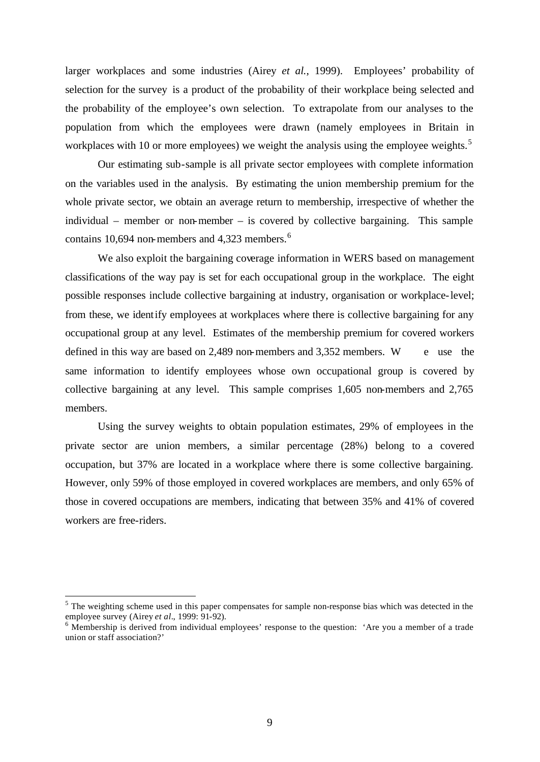larger workplaces and some industries (Airey *et al.*, 1999). Employees' probability of selection for the survey is a product of the probability of their workplace being selected and the probability of the employee's own selection. To extrapolate from our analyses to the population from which the employees were drawn (namely employees in Britain in workplaces with 10 or more employees) we weight the analysis using the employee weights.<sup>5</sup>

Our estimating sub-sample is all private sector employees with complete information on the variables used in the analysis. By estimating the union membership premium for the whole private sector, we obtain an average return to membership, irrespective of whether the individual – member or non-member – is covered by collective bargaining. This sample contains 10,694 non-members and 4,323 members. $6$ 

We also exploit the bargaining coverage information in WERS based on management classifications of the way pay is set for each occupational group in the workplace. The eight possible responses include collective bargaining at industry, organisation or workplace-level; from these, we identify employees at workplaces where there is collective bargaining for any occupational group at any level. Estimates of the membership premium for covered workers defined in this way are based on 2,489 non-members and  $3,352$  members. W e use the same information to identify employees whose own occupational group is covered by collective bargaining at any level. This sample comprises 1,605 non-members and 2,765 members.

Using the survey weights to obtain population estimates, 29% of employees in the private sector are union members, a similar percentage (28%) belong to a covered occupation, but 37% are located in a workplace where there is some collective bargaining. However, only 59% of those employed in covered workplaces are members, and only 65% of those in covered occupations are members, indicating that between 35% and 41% of covered workers are free-riders.

<sup>&</sup>lt;sup>5</sup> The weighting scheme used in this paper compensates for sample non-response bias which was detected in the employee survey (Airey *et al.*, 1999: 91-92).

 $6$  Membership is derived from individual employees' response to the question: 'Are you a member of a trade union or staff association?'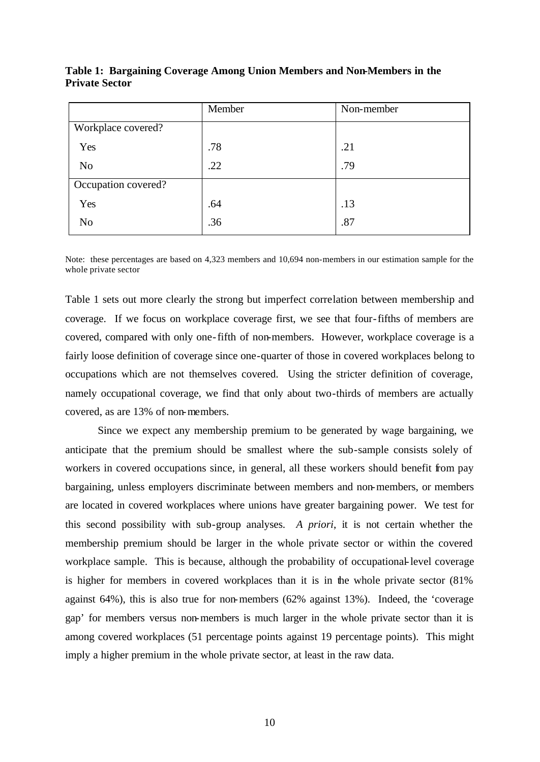|                     | Member | Non-member |
|---------------------|--------|------------|
| Workplace covered?  |        |            |
| Yes                 | .78    | .21        |
| N <sub>o</sub>      | .22    | .79        |
| Occupation covered? |        |            |
| Yes                 | .64    | .13        |
| N <sub>0</sub>      | .36    | .87        |

**Table 1: Bargaining Coverage Among Union Members and Non-Members in the Private Sector**

Note: these percentages are based on 4,323 members and 10,694 non-members in our estimation sample for the whole private sector

Table 1 sets out more clearly the strong but imperfect correlation between membership and coverage. If we focus on workplace coverage first, we see that four-fifths of members are covered, compared with only one-fifth of non-members. However, workplace coverage is a fairly loose definition of coverage since one-quarter of those in covered workplaces belong to occupations which are not themselves covered. Using the stricter definition of coverage, namely occupational coverage, we find that only about two-thirds of members are actually covered, as are 13% of non-members.

Since we expect any membership premium to be generated by wage bargaining, we anticipate that the premium should be smallest where the sub-sample consists solely of workers in covered occupations since, in general, all these workers should benefit from pay bargaining, unless employers discriminate between members and non-members, or members are located in covered workplaces where unions have greater bargaining power. We test for this second possibility with sub-group analyses. *A priori*, it is not certain whether the membership premium should be larger in the whole private sector or within the covered workplace sample. This is because, although the probability of occupational-level coverage is higher for members in covered workplaces than it is in the whole private sector (81% against 64%), this is also true for non-members (62% against 13%). Indeed, the 'coverage gap' for members versus non-members is much larger in the whole private sector than it is among covered workplaces (51 percentage points against 19 percentage points). This might imply a higher premium in the whole private sector, at least in the raw data.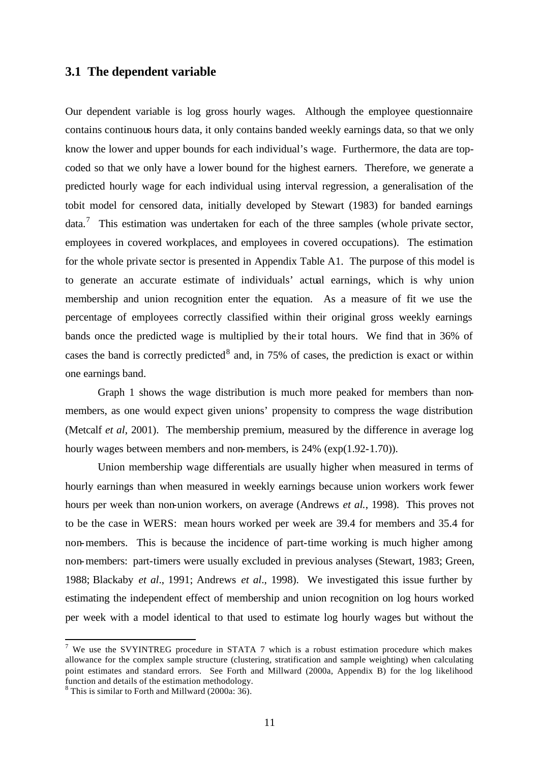# **3.1 The dependent variable**

Our dependent variable is log gross hourly wages. Although the employee questionnaire contains continuous hours data, it only contains banded weekly earnings data, so that we only know the lower and upper bounds for each individual's wage. Furthermore, the data are topcoded so that we only have a lower bound for the highest earners. Therefore, we generate a predicted hourly wage for each individual using interval regression, a generalisation of the tobit model for censored data, initially developed by Stewart (1983) for banded earnings data.<sup>7</sup> This estimation was undertaken for each of the three samples (whole private sector, employees in covered workplaces, and employees in covered occupations). The estimation for the whole private sector is presented in Appendix Table A1. The purpose of this model is to generate an accurate estimate of individuals' actual earnings, which is why union membership and union recognition enter the equation. As a measure of fit we use the percentage of employees correctly classified within their original gross weekly earnings bands once the predicted wage is multiplied by the ir total hours. We find that in 36% of cases the band is correctly predicted<sup>8</sup> and, in 75% of cases, the prediction is exact or within one earnings band.

Graph 1 shows the wage distribution is much more peaked for members than nonmembers, as one would expect given unions' propensity to compress the wage distribution (Metcalf *et al*, 2001). The membership premium, measured by the difference in average log hourly wages between members and non-members, is 24% (exp(1.92-1.70)).

Union membership wage differentials are usually higher when measured in terms of hourly earnings than when measured in weekly earnings because union workers work fewer hours per week than non-union workers, on average (Andrews *et al.*, 1998). This proves not to be the case in WERS: mean hours worked per week are 39.4 for members and 35.4 for non-members. This is because the incidence of part-time working is much higher among non-members: part-timers were usually excluded in previous analyses (Stewart, 1983; Green, 1988; Blackaby *et al*., 1991; Andrews *et al*., 1998). We investigated this issue further by estimating the independent effect of membership and union recognition on log hours worked per week with a model identical to that used to estimate log hourly wages but without the

<sup>&</sup>lt;sup>7</sup> We use the SVYINTREG procedure in STATA 7 which is a robust estimation procedure which makes allowance for the complex sample structure (clustering, stratification and sample weighting) when calculating point estimates and standard errors. See Forth and Millward (2000a, Appendix B) for the log likelihood function and details of the estimation methodology.

<sup>&</sup>lt;sup>8</sup> This is similar to Forth and Millward (2000a: 36).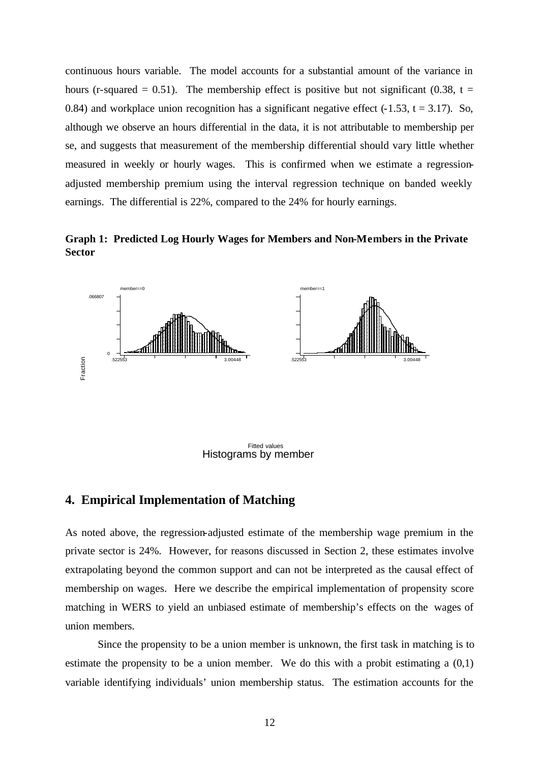continuous hours variable. The model accounts for a substantial amount of the variance in hours (r-squared = 0.51). The membership effect is positive but not significant (0.38, t = 0.84) and workplace union recognition has a significant negative effect  $(-1.53, t = 3.17)$ . So, although we observe an hours differential in the data, it is not attributable to membership per se, and suggests that measurement of the membership differential should vary little whether measured in weekly or hourly wages. This is confirmed when we estimate a regressionadjusted membership premium using the interval regression technique on banded weekly earnings. The differential is 22%, compared to the 24% for hourly earnings.

**Graph 1: Predicted Log Hourly Wages for Members and Non-Members in the Private Sector**



Histograms by member Fitted values

### **4. Empirical Implementation of Matching**

As noted above, the regression-adjusted estimate of the membership wage premium in the private sector is 24%. However, for reasons discussed in Section 2, these estimates involve extrapolating beyond the common support and can not be interpreted as the causal effect of membership on wages. Here we describe the empirical implementation of propensity score matching in WERS to yield an unbiased estimate of membership's effects on the wages of union members. Find values<br> **4. Empirical Implementation of Matching**<br>
As noted above, the regression-adjusted estimate of the membership wage premium in the<br>
private sector is 24%. However, for reasons discussed in Section 2, these esti

Since the propensity to be a union member is unknown, the first task in matching is to estimate the propensity to be a union member. We do this with a probit estimating a (0,1)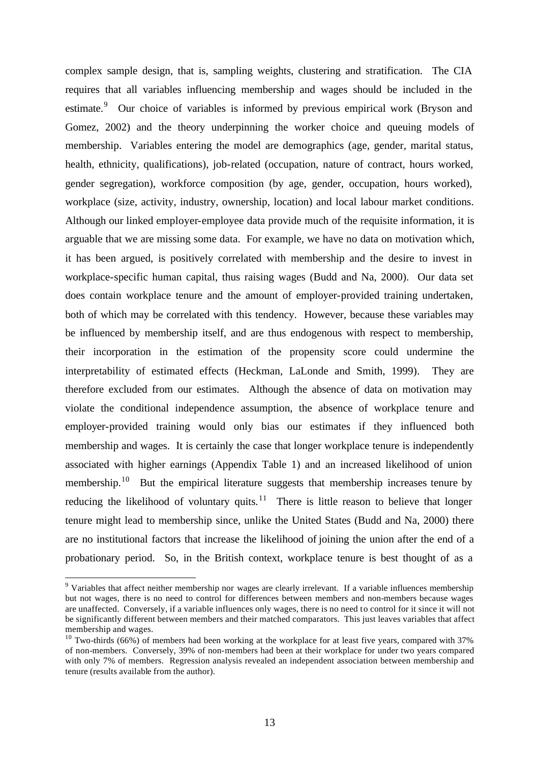complex sample design, that is, sampling weights, clustering and stratification. The CIA requires that all variables influencing membership and wages should be included in the estimate.<sup>9</sup> Our choice of variables is informed by previous empirical work (Bryson and Gomez, 2002) and the theory underpinning the worker choice and queuing models of membership. Variables entering the model are demographics (age, gender, marital status, health, ethnicity, qualifications), job-related (occupation, nature of contract, hours worked, gender segregation), workforce composition (by age, gender, occupation, hours worked), workplace (size, activity, industry, ownership, location) and local labour market conditions. Although our linked employer-employee data provide much of the requisite information, it is arguable that we are missing some data. For example, we have no data on motivation which, it has been argued, is positively correlated with membership and the desire to invest in workplace-specific human capital, thus raising wages (Budd and Na, 2000). Our data set does contain workplace tenure and the amount of employer-provided training undertaken, both of which may be correlated with this tendency. However, because these variables may be influenced by membership itself, and are thus endogenous with respect to membership, their incorporation in the estimation of the propensity score could undermine the interpretability of estimated effects (Heckman, LaLonde and Smith, 1999). They are therefore excluded from our estimates. Although the absence of data on motivation may violate the conditional independence assumption, the absence of workplace tenure and employer-provided training would only bias our estimates if they influenced both membership and wages. It is certainly the case that longer workplace tenure is independently associated with higher earnings (Appendix Table 1) and an increased likelihood of union membership.<sup>10</sup> But the empirical literature suggests that membership increases tenure by reducing the likelihood of voluntary quits.<sup>11</sup> There is little reason to believe that longer tenure might lead to membership since, unlike the United States (Budd and Na, 2000) there are no institutional factors that increase the likelihood of joining the union after the end of a probationary period. So, in the British context, workplace tenure is best thought of as a

<sup>&</sup>lt;sup>9</sup> Variables that affect neither membership nor wages are clearly irrelevant. If a variable influences membership but not wages, there is no need to control for differences between members and non-members because wages are unaffected. Conversely, if a variable influences only wages, there is no need to control for it since it will not be significantly different between members and their matched comparators. This just leaves variables that affect membership and wages.

<sup>&</sup>lt;sup>10</sup> Two-thirds (66%) of members had been working at the workplace for at least five years, compared with 37% of non-members. Conversely, 39% of non-members had been at their workplace for under two years compared with only 7% of members. Regression analysis revealed an independent association between membership and tenure (results available from the author).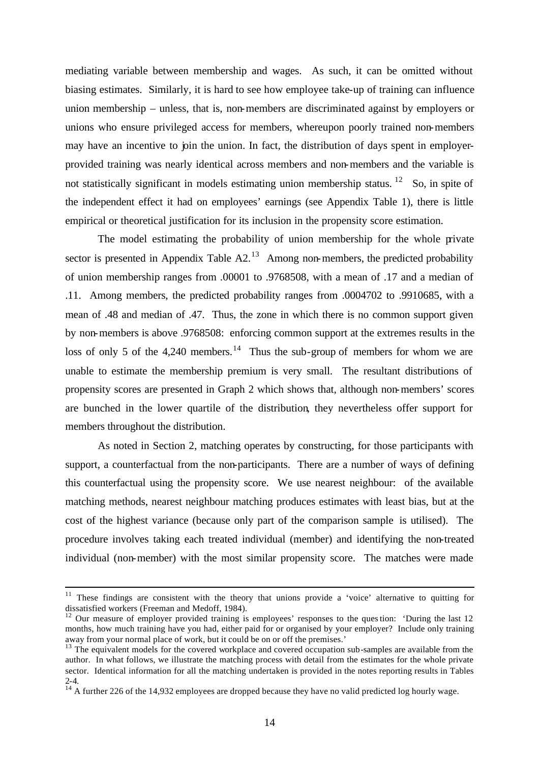mediating variable between membership and wages. As such, it can be omitted without biasing estimates. Similarly, it is hard to see how employee take-up of training can influence union membership – unless, that is, non-members are discriminated against by employers or unions who ensure privileged access for members, whereupon poorly trained non-members may have an incentive to join the union. In fact, the distribution of days spent in employerprovided training was nearly identical across members and non-members and the variable is not statistically significant in models estimating union membership status.  $12$  So, in spite of the independent effect it had on employees' earnings (see Appendix Table 1), there is little empirical or theoretical justification for its inclusion in the propensity score estimation.

The model estimating the probability of union membership for the whole private sector is presented in Appendix Table  $A2<sup>13</sup>$  Among non-members, the predicted probability of union membership ranges from .00001 to .9768508, with a mean of .17 and a median of .11. Among members, the predicted probability ranges from .0004702 to .9910685, with a mean of .48 and median of .47. Thus, the zone in which there is no common support given by non-members is above .9768508: enforcing common support at the extremes results in the loss of only 5 of the 4,240 members.<sup>14</sup> Thus the sub-group of members for whom we are unable to estimate the membership premium is very small. The resultant distributions of propensity scores are presented in Graph 2 which shows that, although non-members' scores are bunched in the lower quartile of the distribution, they nevertheless offer support for members throughout the distribution.

As noted in Section 2, matching operates by constructing, for those participants with support, a counterfactual from the non-participants. There are a number of ways of defining this counterfactual using the propensity score. We use nearest neighbour: of the available matching methods, nearest neighbour matching produces estimates with least bias, but at the cost of the highest variance (because only part of the comparison sample is utilised). The procedure involves taking each treated individual (member) and identifying the non-treated individual (non-member) with the most similar propensity score. The matches were made

 $11$  These findings are consistent with the theory that unions provide a 'voice' alternative to quitting for dissatisfied workers (Freeman and Medoff, 1984).

<sup>&</sup>lt;sup>12</sup> Our measure of employer provided training is employees' responses to the question: 'During the last 12 months, how much training have you had, either paid for or organised by your employer? Include only training away from your normal place of work, but it could be on or off the premises.'

<sup>&</sup>lt;sup>13</sup> The equivalent models for the covered workplace and covered occupation sub-samples are available from the author. In what follows, we illustrate the matching process with detail from the estimates for the whole private sector. Identical information for all the matching undertaken is provided in the notes reporting results in Tables  $2 - 4.$ 

 $14$ <sup>14</sup> A further 226 of the 14,932 employees are dropped because they have no valid predicted log hourly wage.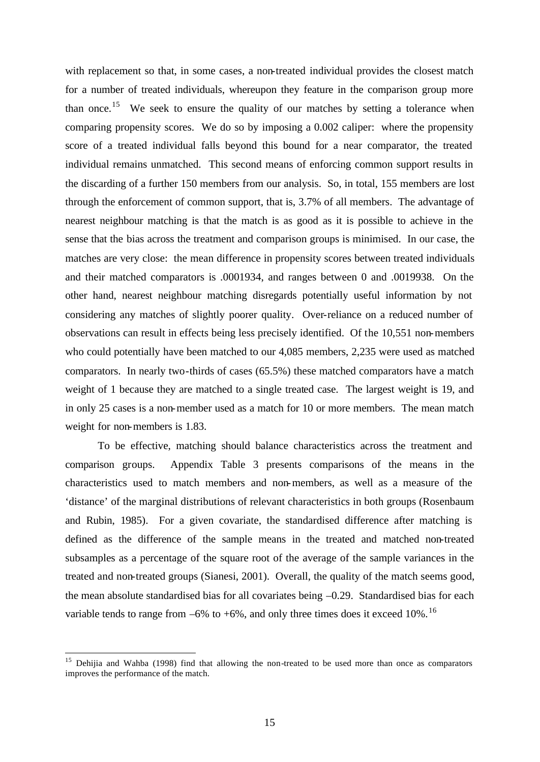with replacement so that, in some cases, a non-treated individual provides the closest match for a number of treated individuals, whereupon they feature in the comparison group more than once.<sup>15</sup> We seek to ensure the quality of our matches by setting a tolerance when comparing propensity scores. We do so by imposing a 0.002 caliper: where the propensity score of a treated individual falls beyond this bound for a near comparator, the treated individual remains unmatched. This second means of enforcing common support results in the discarding of a further 150 members from our analysis. So, in total, 155 members are lost through the enforcement of common support, that is, 3.7% of all members. The advantage of nearest neighbour matching is that the match is as good as it is possible to achieve in the sense that the bias across the treatment and comparison groups is minimised. In our case, the matches are very close: the mean difference in propensity scores between treated individuals and their matched comparators is .0001934, and ranges between 0 and .0019938. On the other hand, nearest neighbour matching disregards potentially useful information by not considering any matches of slightly poorer quality. Over-reliance on a reduced number of observations can result in effects being less precisely identified. Of the 10,551 non-members who could potentially have been matched to our 4,085 members, 2,235 were used as matched comparators. In nearly two-thirds of cases (65.5%) these matched comparators have a match weight of 1 because they are matched to a single treated case. The largest weight is 19, and in only 25 cases is a non-member used as a match for 10 or more members. The mean match weight for non-members is 1.83.

To be effective, matching should balance characteristics across the treatment and comparison groups. Appendix Table 3 presents comparisons of the means in the characteristics used to match members and non-members, as well as a measure of the 'distance' of the marginal distributions of relevant characteristics in both groups (Rosenbaum and Rubin, 1985). For a given covariate, the standardised difference after matching is defined as the difference of the sample means in the treated and matched non-treated subsamples as a percentage of the square root of the average of the sample variances in the treated and non-treated groups (Sianesi, 2001). Overall, the quality of the match seems good, the mean absolute standardised bias for all covariates being –0.29. Standardised bias for each variable tends to range from  $-6\%$  to  $+6\%$ , and only three times does it exceed 10%.<sup>16</sup>

<sup>&</sup>lt;sup>15</sup> Dehijia and Wahba (1998) find that allowing the non-treated to be used more than once as comparators improves the performance of the match.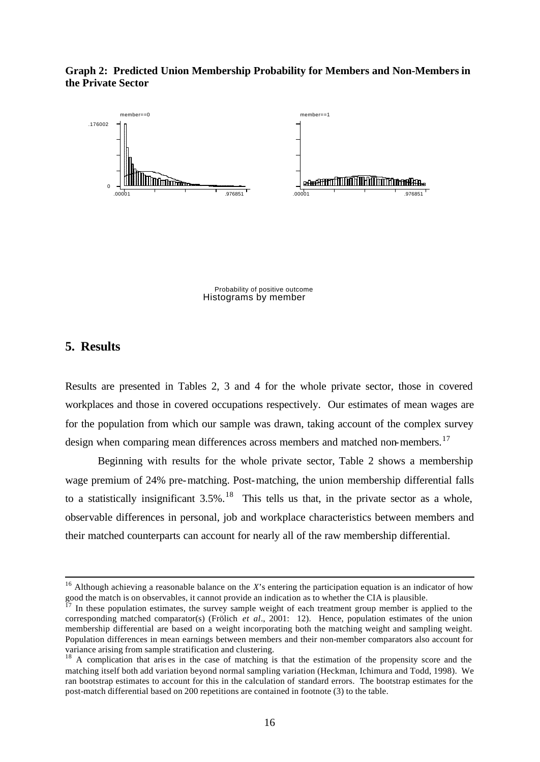**Graph 2: Predicted Union Membership Probability for Members and Non-Members in the Private Sector**



Histograms by member Probability of positive outcome

# **5. Results**

 $\overline{a}$ 

Results are presented in Tables 2, 3 and 4 for the whole private sector, those in covered workplaces and those in covered occupations respectively. Our estimates of mean wages are for the population from which our sample was drawn, taking account of the complex survey design when comparing mean differences across members and matched non-members.<sup>17</sup>

Beginning with results for the whole private sector, Table 2 shows a membership wage premium of 24% pre-matching. Post-matching, the union membership differential falls to a statistically insignificant  $3.5\%$ .<sup>18</sup> This tells us that, in the private sector as a whole, observable differences in personal, job and workplace characteristics between members and their matched counterparts can account for nearly all of the raw membership differential.

<sup>&</sup>lt;sup>16</sup> Although achieving a reasonable balance on the *X*'s entering the participation equation is an indicator of how good the match is on observables, it cannot provide an indication as to whether the CIA is plausible.<br><sup>17</sup> In these generality

In these population estimates, the survey sample weight of each treatment group member is applied to the corresponding matched comparator(s) (Frölich *et al*., 2001: 12). Hence, population estimates of the union membership differential are based on a weight incorporating both the matching weight and sampling weight. Population differences in mean earnings between members and their non-member comparators also account for variance arising from sample stratification and clustering.

<sup>&</sup>lt;sup>18</sup> A complication that arises in the case of matching is that the estimation of the propensity score and the matching itself both add variation beyond normal sampling variation (Heckman, Ichimura and Todd, 1998). We ran bootstrap estimates to account for this in the calculation of standard errors. The bootstrap estimates for the post-match differential based on 200 repetitions are contained in footnote (3) to the table.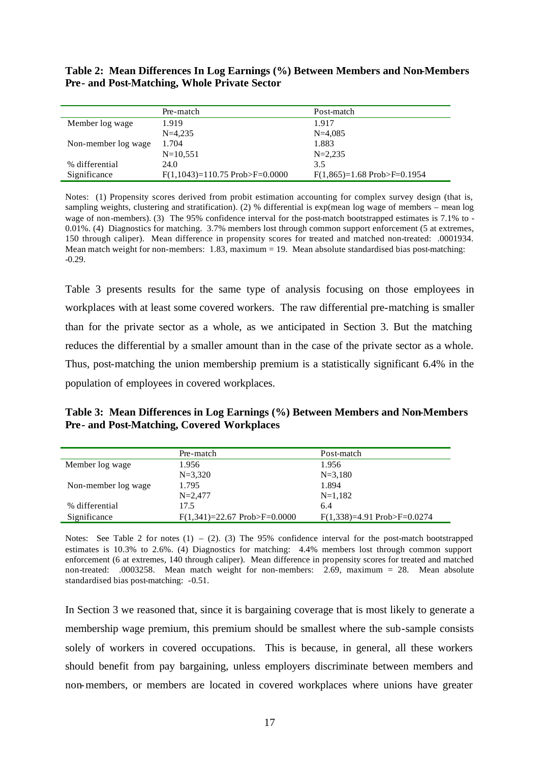**Table 2: Mean Differences In Log Earnings (%) Between Members and Non-Members Pre- and Post-Matching, Whole Private Sector**

|                     | Pre-match                               | Post-match                           |
|---------------------|-----------------------------------------|--------------------------------------|
| Member log wage     | 1.919                                   | 1.917                                |
|                     | $N=4.235$                               | $N=4.085$                            |
| Non-member log wage | 1.704                                   | 1.883                                |
|                     | $N = 10,551$                            | $N = 2.235$                          |
| % differential      | 24.0                                    | 3.5                                  |
| Significance        | $F(1,1043)=110.75$ Prob $\geq F=0.0000$ | $F(1,865)=1.68$ Prob $\geq F=0.1954$ |

Notes: (1) Propensity scores derived from probit estimation accounting for complex survey design (that is, sampling weights, clustering and stratification). (2) % differential is exp(mean log wage of members – mean log wage of non-members). (3) The 95% confidence interval for the post-match bootstrapped estimates is 7.1% to - 0.01%. (4) Diagnostics for matching. 3.7% members lost through common support enforcement (5 at extremes, 150 through caliper). Mean difference in propensity scores for treated and matched non-treated: .0001934. Mean match weight for non-members:  $1.83$ , maximum = 19. Mean absolute standardised bias post-matching: -0.29.

Table 3 presents results for the same type of analysis focusing on those employees in workplaces with at least some covered workers. The raw differential pre-matching is smaller than for the private sector as a whole, as we anticipated in Section 3. But the matching reduces the differential by a smaller amount than in the case of the private sector as a whole. Thus, post-matching the union membership premium is a statistically significant 6.4% in the population of employees in covered workplaces.

**Table 3: Mean Differences in Log Earnings (%) Between Members and Non-Members Pre- and Post-Matching, Covered Workplaces** 

|                     | Pre-match                             | Post-match                           |
|---------------------|---------------------------------------|--------------------------------------|
| Member log wage     | 1.956                                 | 1.956                                |
|                     | $N = 3,320$                           | $N = 3,180$                          |
| Non-member log wage | 1.795                                 | 1.894                                |
|                     | $N = 2.477$                           | $N=1,182$                            |
| % differential      | 17.5                                  | 6.4                                  |
| Significance        | $F(1,341)=22.67$ Prob $\geq F=0.0000$ | $F(1,338)=4.91$ Prob $\geq F=0.0274$ |

Notes: See Table 2 for notes  $(1) - (2)$ . (3) The 95% confidence interval for the post-match bootstrapped estimates is 10.3% to 2.6%. (4) Diagnostics for matching: 4.4% members lost through common support enforcement (6 at extremes, 140 through caliper). Mean difference in propensity scores for treated and matched non-treated: .0003258. Mean match weight for non-members: 2.69, maximum = 28. Mean absolute standardised bias post-matching: -0.51.

In Section 3 we reasoned that, since it is bargaining coverage that is most likely to generate a membership wage premium, this premium should be smallest where the sub-sample consists solely of workers in covered occupations. This is because, in general, all these workers should benefit from pay bargaining, unless employers discriminate between members and non-members, or members are located in covered workplaces where unions have greater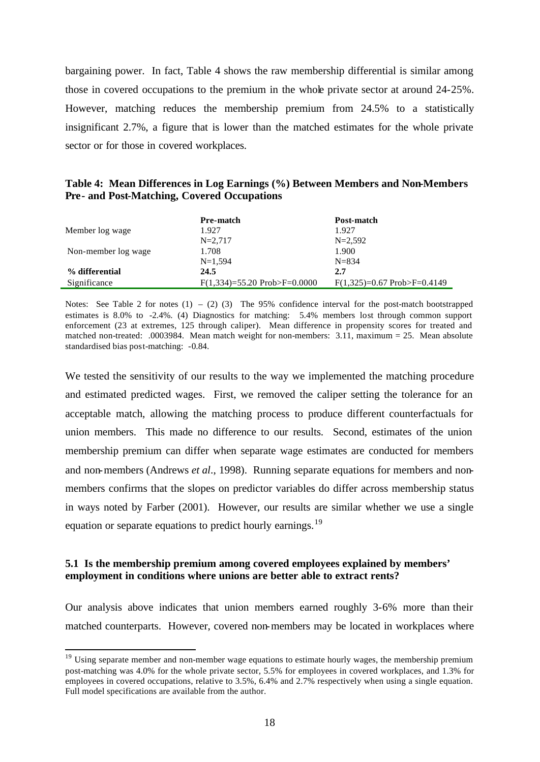bargaining power. In fact, Table 4 shows the raw membership differential is similar among those in covered occupations to the premium in the whole private sector at around 24-25%. However, matching reduces the membership premium from 24.5% to a statistically insignificant 2.7%, a figure that is lower than the matched estimates for the whole private sector or for those in covered workplaces.

|                                                    |  |  | Table 4: Mean Differences in Log Earnings (%) Between Members and Non-Members |  |
|----------------------------------------------------|--|--|-------------------------------------------------------------------------------|--|
| <b>Pre- and Post-Matching, Covered Occupations</b> |  |  |                                                                               |  |

|                     | <b>Pre-match</b>                      | Post-match                           |
|---------------------|---------------------------------------|--------------------------------------|
| Member log wage     | 1.927                                 | 1.927                                |
|                     | $N = 2.717$                           | $N = 2.592$                          |
| Non-member log wage | 1.708                                 | 1.900                                |
|                     | $N=1,594$                             | $N = 834$                            |
| % differential      | 24.5                                  | 2.7                                  |
| Significance        | $F(1,334)=55.20$ Prob $\geq F=0.0000$ | $F(1,325)=0.67$ Prob $\geq F=0.4149$ |

Notes: See Table 2 for notes  $(1) - (2)$  (3) The 95% confidence interval for the post-match bootstrapped estimates is 8.0% to -2.4%. (4) Diagnostics for matching: 5.4% members lost through common support enforcement (23 at extremes, 125 through caliper). Mean difference in propensity scores for treated and matched non-treated: .0003984. Mean match weight for non-members: 3.11, maximum = 25. Mean absolute standardised bias post-matching: -0.84.

We tested the sensitivity of our results to the way we implemented the matching procedure and estimated predicted wages. First, we removed the caliper setting the tolerance for an acceptable match, allowing the matching process to produce different counterfactuals for union members. This made no difference to our results. Second, estimates of the union membership premium can differ when separate wage estimates are conducted for members and non-members (Andrews *et al*., 1998). Running separate equations for members and nonmembers confirms that the slopes on predictor variables do differ across membership status in ways noted by Farber (2001). However, our results are similar whether we use a single equation or separate equations to predict hourly earnings.<sup>19</sup>

#### **5.1 Is the membership premium among covered employees explained by members' employment in conditions where unions are better able to extract rents?**

 $\overline{a}$ 

Our analysis above indicates that union members earned roughly 3-6% more than their matched counterparts. However, covered non-members may be located in workplaces where

 $19$  Using separate member and non-member wage equations to estimate hourly wages, the membership premium post-matching was 4.0% for the whole private sector, 5.5% for employees in covered workplaces, and 1.3% for employees in covered occupations, relative to 3.5%, 6.4% and 2.7% respectively when using a single equation. Full model specifications are available from the author.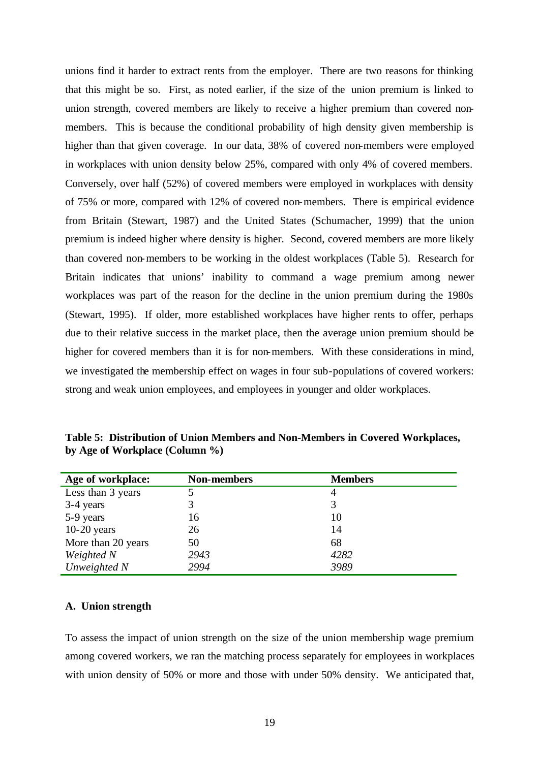unions find it harder to extract rents from the employer. There are two reasons for thinking that this might be so. First, as noted earlier, if the size of the union premium is linked to union strength, covered members are likely to receive a higher premium than covered nonmembers. This is because the conditional probability of high density given membership is higher than that given coverage. In our data, 38% of covered non-members were employed in workplaces with union density below 25%, compared with only 4% of covered members. Conversely, over half (52%) of covered members were employed in workplaces with density of 75% or more, compared with 12% of covered non-members. There is empirical evidence from Britain (Stewart, 1987) and the United States (Schumacher, 1999) that the union premium is indeed higher where density is higher. Second, covered members are more likely than covered non-members to be working in the oldest workplaces (Table 5). Research for Britain indicates that unions' inability to command a wage premium among newer workplaces was part of the reason for the decline in the union premium during the 1980s (Stewart, 1995). If older, more established workplaces have higher rents to offer, perhaps due to their relative success in the market place, then the average union premium should be higher for covered members than it is for non-members. With these considerations in mind, we investigated the membership effect on wages in four sub-populations of covered workers: strong and weak union employees, and employees in younger and older workplaces.

| Age of workplace:  | <b>Non-members</b> | <b>Members</b> |
|--------------------|--------------------|----------------|
| Less than 3 years  |                    | 4              |
| 3-4 years          | 3                  |                |
| 5-9 years          | 16                 | 10             |
| $10-20$ years      | 26                 | 14             |
| More than 20 years | 50                 | 68             |
| Weighted N         | 2943               | 4282           |
| Unweighted N       | 2994               | 3989           |

**Table 5: Distribution of Union Members and Non-Members in Covered Workplaces, by Age of Workplace (Column %)**

#### **A. Union strength**

To assess the impact of union strength on the size of the union membership wage premium among covered workers, we ran the matching process separately for employees in workplaces with union density of 50% or more and those with under 50% density. We anticipated that,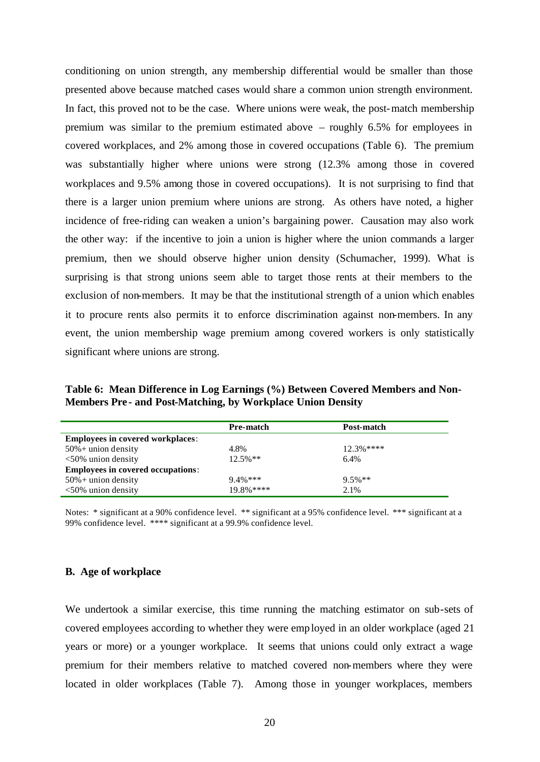conditioning on union strength, any membership differential would be smaller than those presented above because matched cases would share a common union strength environment. In fact, this proved not to be the case. Where unions were weak, the post-match membership premium was similar to the premium estimated above – roughly 6.5% for employees in covered workplaces, and 2% among those in covered occupations (Table 6). The premium was substantially higher where unions were strong (12.3% among those in covered workplaces and 9.5% among those in covered occupations). It is not surprising to find that there is a larger union premium where unions are strong. As others have noted, a higher incidence of free-riding can weaken a union's bargaining power. Causation may also work the other way: if the incentive to join a union is higher where the union commands a larger premium, then we should observe higher union density (Schumacher, 1999). What is surprising is that strong unions seem able to target those rents at their members to the exclusion of non-members. It may be that the institutional strength of a union which enables it to procure rents also permits it to enforce discrimination against non-members. In any event, the union membership wage premium among covered workers is only statistically significant where unions are strong.

**Table 6: Mean Difference in Log Earnings (%) Between Covered Members and Non-Members Pre - and Post-Matching, by Workplace Union Density**

| Pre-match   | Post-match |
|-------------|------------|
|             |            |
| 4.8%        | $12.3%***$ |
| $12.5\%$ ** | 6.4%       |
|             |            |
| $9.4\%$ *** | $9.5%**$   |
| $19.8%***$  | 2.1%       |
|             |            |

Notes: \* significant at a 90% confidence level. \*\* significant at a 95% confidence level. \*\*\* significant at a 99% confidence level. \*\*\*\* significant at a 99.9% confidence level.

#### **B. Age of workplace**

We undertook a similar exercise, this time running the matching estimator on sub-sets of covered employees according to whether they were employed in an older workplace (aged 21 years or more) or a younger workplace. It seems that unions could only extract a wage premium for their members relative to matched covered non-members where they were located in older workplaces (Table 7). Among those in younger workplaces, members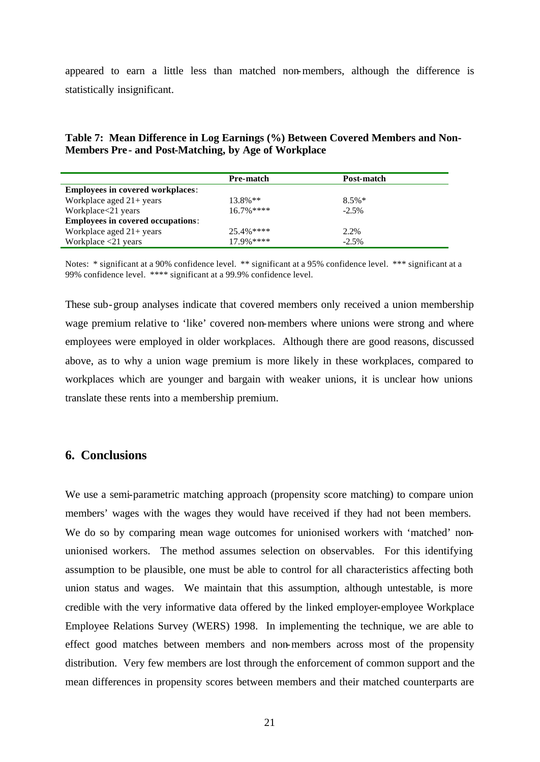appeared to earn a little less than matched non-members, although the difference is statistically insignificant.

**Table 7: Mean Difference in Log Earnings (%) Between Covered Members and Non-Members Pre - and Post-Matching, by Age of Workplace**

|                                          | Pre-match     | Post-match |
|------------------------------------------|---------------|------------|
| <b>Employees in covered workplaces:</b>  |               |            |
| Workplace aged $21+$ years               | $13.8\%**$    | $8.5\%*$   |
| Workplace<21 years                       | $16.7\%***$   | $-2.5%$    |
| <b>Employees in covered occupations:</b> |               |            |
| Workplace aged $21+$ years               | $25.4\%$ **** | 2.2%       |
| Workplace $\leq$ 21 years                | $17.9\%$ **** | $-2.5%$    |

Notes: \* significant at a 90% confidence level. \*\* significant at a 95% confidence level. \*\*\* significant at a 99% confidence level. \*\*\*\* significant at a 99.9% confidence level.

These sub-group analyses indicate that covered members only received a union membership wage premium relative to 'like' covered non-members where unions were strong and where employees were employed in older workplaces. Although there are good reasons, discussed above, as to why a union wage premium is more likely in these workplaces, compared to workplaces which are younger and bargain with weaker unions, it is unclear how unions translate these rents into a membership premium.

## **6. Conclusions**

We use a semi-parametric matching approach (propensity score matching) to compare union members' wages with the wages they would have received if they had not been members. We do so by comparing mean wage outcomes for unionised workers with 'matched' nonunionised workers. The method assumes selection on observables. For this identifying assumption to be plausible, one must be able to control for all characteristics affecting both union status and wages. We maintain that this assumption, although untestable, is more credible with the very informative data offered by the linked employer-employee Workplace Employee Relations Survey (WERS) 1998. In implementing the technique, we are able to effect good matches between members and non-members across most of the propensity distribution. Very few members are lost through the enforcement of common support and the mean differences in propensity scores between members and their matched counterparts are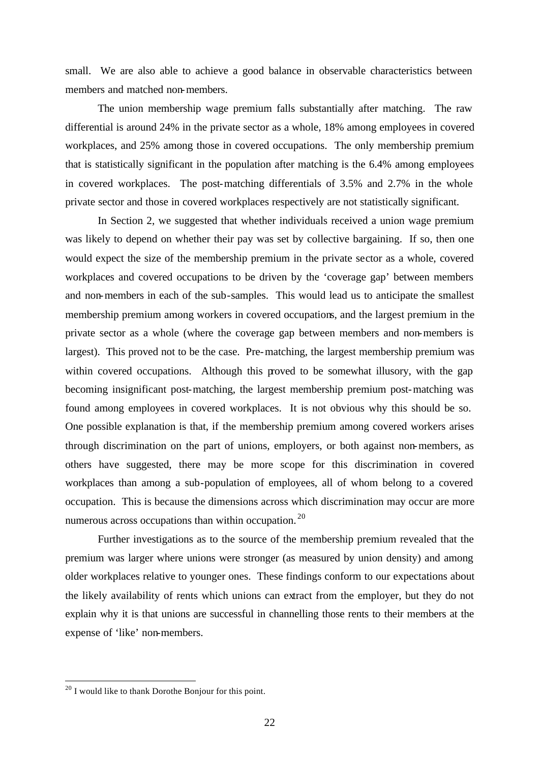small. We are also able to achieve a good balance in observable characteristics between members and matched non-members.

The union membership wage premium falls substantially after matching. The raw differential is around 24% in the private sector as a whole, 18% among employees in covered workplaces, and 25% among those in covered occupations. The only membership premium that is statistically significant in the population after matching is the 6.4% among employees in covered workplaces. The post-matching differentials of 3.5% and 2.7% in the whole private sector and those in covered workplaces respectively are not statistically significant.

In Section 2, we suggested that whether individuals received a union wage premium was likely to depend on whether their pay was set by collective bargaining. If so, then one would expect the size of the membership premium in the private sector as a whole, covered workplaces and covered occupations to be driven by the 'coverage gap' between members and non-members in each of the sub-samples. This would lead us to anticipate the smallest membership premium among workers in covered occupations, and the largest premium in the private sector as a whole (where the coverage gap between members and non-members is largest). This proved not to be the case. Pre-matching, the largest membership premium was within covered occupations. Although this proved to be somewhat illusory, with the gap becoming insignificant post-matching, the largest membership premium post-matching was found among employees in covered workplaces. It is not obvious why this should be so. One possible explanation is that, if the membership premium among covered workers arises through discrimination on the part of unions, employers, or both against non-members, as others have suggested, there may be more scope for this discrimination in covered workplaces than among a sub-population of employees, all of whom belong to a covered occupation. This is because the dimensions across which discrimination may occur are more numerous across occupations than within occupation. <sup>20</sup>

Further investigations as to the source of the membership premium revealed that the premium was larger where unions were stronger (as measured by union density) and among older workplaces relative to younger ones. These findings conform to our expectations about the likely availability of rents which unions can extract from the employer, but they do not explain why it is that unions are successful in channelling those rents to their members at the expense of 'like' non-members.

 $^{20}$  I would like to thank Dorothe Bonjour for this point.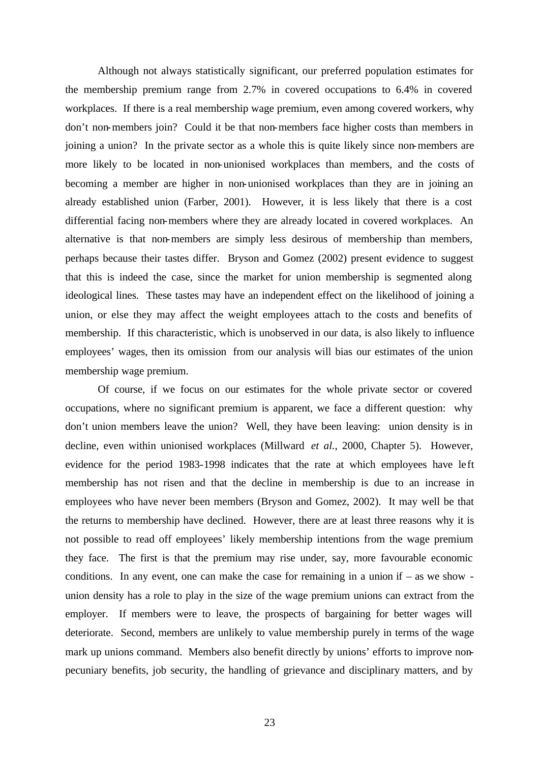Although not always statistically significant, our preferred population estimates for the membership premium range from 2.7% in covered occupations to 6.4% in covered workplaces. If there is a real membership wage premium, even among covered workers, why don't non-members join? Could it be that non-members face higher costs than members in joining a union? In the private sector as a whole this is quite likely since non-members are more likely to be located in non-unionised workplaces than members, and the costs of becoming a member are higher in non-unionised workplaces than they are in joining an already established union (Farber, 2001). However, it is less likely that there is a cost differential facing non-members where they are already located in covered workplaces. An alternative is that non-members are simply less desirous of membership than members, perhaps because their tastes differ. Bryson and Gomez (2002) present evidence to suggest that this is indeed the case, since the market for union membership is segmented along ideological lines. These tastes may have an independent effect on the likelihood of joining a union, or else they may affect the weight employees attach to the costs and benefits of membership. If this characteristic, which is unobserved in our data, is also likely to influence employees' wages, then its omission from our analysis will bias our estimates of the union membership wage premium.

Of course, if we focus on our estimates for the whole private sector or covered occupations, where no significant premium is apparent, we face a different question: why don't union members leave the union? Well, they have been leaving: union density is in decline, even within unionised workplaces (Millward *et al.*, 2000, Chapter 5). However, evidence for the period 1983-1998 indicates that the rate at which employees have left membership has not risen and that the decline in membership is due to an increase in employees who have never been members (Bryson and Gomez, 2002). It may well be that the returns to membership have declined. However, there are at least three reasons why it is not possible to read off employees' likely membership intentions from the wage premium they face. The first is that the premium may rise under, say, more favourable economic conditions. In any event, one can make the case for remaining in a union if  $-$  as we show  $$ union density has a role to play in the size of the wage premium unions can extract from the employer. If members were to leave, the prospects of bargaining for better wages will deteriorate. Second, members are unlikely to value membership purely in terms of the wage mark up unions command. Members also benefit directly by unions' efforts to improve nonpecuniary benefits, job security, the handling of grievance and disciplinary matters, and by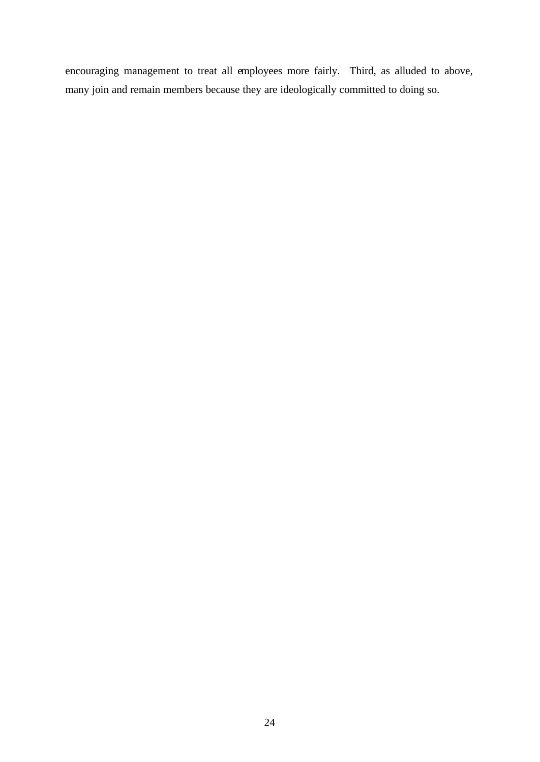encouraging management to treat all employees more fairly. Third, as alluded to above, many join and remain members because they are ideologically committed to doing so.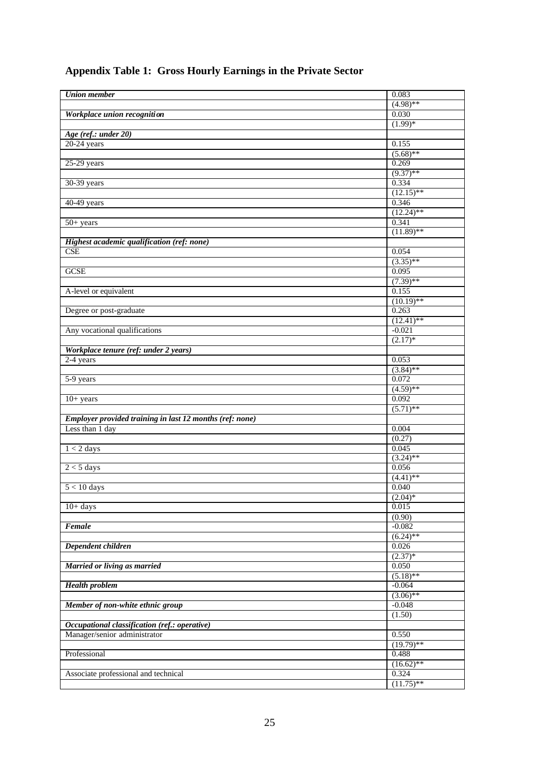| <b>Union</b> member                                      | 0.083        |
|----------------------------------------------------------|--------------|
|                                                          | $(4.98)$ **  |
| Workplace union recognition                              | 0.030        |
|                                                          | $(1.99)*$    |
| Age (ref.: under 20)                                     |              |
| $20-24$ years                                            | 0.155        |
|                                                          | $(5.68)$ **  |
| $25-29$ years                                            | 0.269        |
|                                                          | $(9.37)$ **  |
| 30-39 years                                              | 0.334        |
|                                                          | $(12.15)$ ** |
| 40-49 years                                              | 0.346        |
|                                                          | $(12.24)$ ** |
| $50+ years$                                              | 0.341        |
|                                                          | $(11.89)$ ** |
| Highest academic qualification (ref: none)               |              |
| CSE                                                      | 0.054        |
|                                                          | $(3.35)$ **  |
| <b>GCSE</b>                                              | 0.095        |
|                                                          | $(7.39)$ **  |
| A-level or equivalent                                    | 0.155        |
|                                                          | $(10.19)$ ** |
| Degree or post-graduate                                  | 0.263        |
|                                                          | $(12.41)$ ** |
|                                                          |              |
| Any vocational qualifications                            | $-0.021$     |
|                                                          | $(2.17)$ *   |
| Workplace tenure (ref: under 2 years)                    |              |
| 2-4 years                                                | 0.053        |
|                                                          | $(3.84)$ **  |
| 5-9 years                                                | 0.072        |
|                                                          | $(4.59)$ **  |
| $10+ years$                                              | 0.092        |
|                                                          | $(5.71)$ **  |
| Employer provided training in last 12 months (ref: none) |              |
| Less than 1 day                                          | 0.004        |
|                                                          | (0.27)       |
| $1 < 2$ days                                             | 0.045        |
|                                                          | $(3.24)$ **  |
| $2 < 5$ days                                             | 0.056        |
|                                                          | $(4.41)$ **  |
| $5 < 10$ days                                            | 0.040        |
|                                                          | $(2.04)*$    |
| $10+ days$                                               | 0.015        |
|                                                          | (0.90)       |
| Female                                                   | $-0.082$     |
|                                                          | $(6.24)$ **  |
| Dependent children                                       | 0.026        |
|                                                          | $(2.37)*$    |
| Married or living as married                             | 0.050        |
|                                                          | $(5.18)$ **  |
| <b>Health</b> problem                                    | $-0.064$     |
|                                                          | $(3.06)$ **  |
| Member of non-white ethnic group                         | $-0.048$     |
|                                                          | (1.50)       |
| Occupational classification (ref.: operative)            |              |
| Manager/senior administrator                             | 0.550        |
|                                                          | $(19.79)$ ** |
| Professional                                             | 0.488        |
|                                                          | $(16.62)$ ** |
| Associate professional and technical                     | 0.324        |
|                                                          | $(11.75)$ ** |
|                                                          |              |

# **Appendix Table 1: Gross Hourly Earnings in the Private Sector**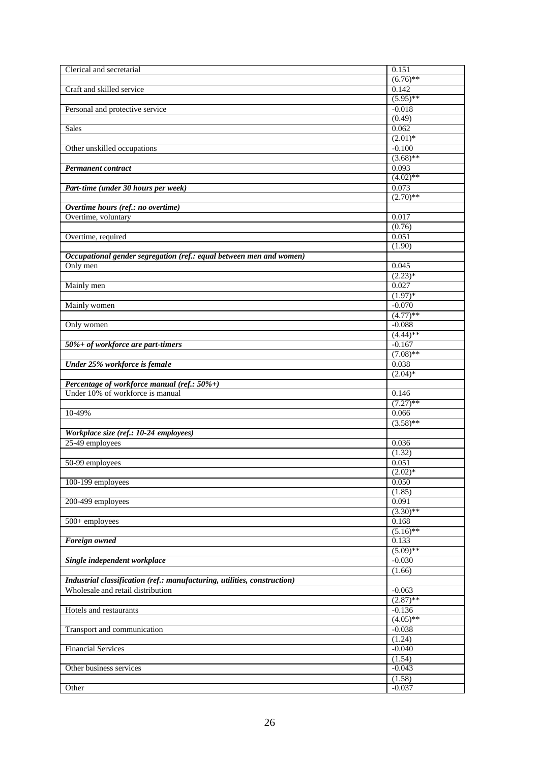| Clerical and secretarial                                                               | 0.151              |
|----------------------------------------------------------------------------------------|--------------------|
|                                                                                        | $(6.76)$ **        |
| Craft and skilled service                                                              | 0.142              |
|                                                                                        | $(5.95)$ **        |
|                                                                                        | $-0.018$           |
| Personal and protective service                                                        |                    |
|                                                                                        | (0.49)             |
| <b>Sales</b>                                                                           | 0.062              |
|                                                                                        | $(2.01)*$          |
| Other unskilled occupations                                                            | $-0.100$           |
|                                                                                        | $(3.68)$ **        |
| <b>Permanent contract</b>                                                              | 0.093              |
|                                                                                        | $(4.02)$ **        |
| Part-time (under 30 hours per week)                                                    | 0.073              |
|                                                                                        | $(2.70)$ **        |
| Overtime hours (ref.: no overtime)                                                     |                    |
| Overtime, voluntary                                                                    | 0.017              |
|                                                                                        | (0.76)             |
| Overtime, required                                                                     | 0.051              |
|                                                                                        | (1.90)             |
|                                                                                        |                    |
| Occupational gender segregation (ref.: equal between men and women)                    |                    |
| Only men                                                                               | 0.045              |
|                                                                                        | $(2.23)*$          |
| Mainly men                                                                             | 0.027              |
|                                                                                        | $(1.97)*$          |
| Mainly women                                                                           | $-0.070$           |
|                                                                                        | $(4.77)$ **        |
| Only women                                                                             | $-0.088$           |
|                                                                                        | $(4.44)$ **        |
| 50%+ of workforce are part-timers                                                      | $-0.167$           |
|                                                                                        | $(7.08)$ **        |
| Under 25% workforce is female                                                          | 0.038              |
|                                                                                        | $(2.04)$ *         |
|                                                                                        |                    |
|                                                                                        |                    |
|                                                                                        |                    |
| <b>Percentage of workforce manual (ref.: 50%+)</b><br>Under 10% of workforce is manual | 0.146              |
|                                                                                        | $(7.27)$ **        |
| 10-49%                                                                                 | 0.066              |
|                                                                                        | $(3.58)$ **        |
| Workplace size (ref.: 10-24 employees)                                                 |                    |
| 25-49 employees                                                                        | 0.036              |
|                                                                                        | (1.32)             |
| 50-99 employees                                                                        | 0.051              |
|                                                                                        | $(2.02)^*$         |
| 100-199 employees                                                                      | 0.050              |
|                                                                                        | (1.85)             |
| 200-499 employees                                                                      | 0.091              |
|                                                                                        | $(3.30)$ **        |
| 500+ employees                                                                         | 0.168              |
|                                                                                        | $(5.16)$ **        |
| <b>Foreign</b> owned                                                                   | 0.133              |
|                                                                                        | $(5.09)$ **        |
| Single independent workplace                                                           | $-0.030$           |
|                                                                                        |                    |
|                                                                                        | (1.66)             |
| Industrial classification (ref.: manufacturing, utilities, construction)               |                    |
| Wholesale and retail distribution                                                      | $-0.063$           |
|                                                                                        | $(2.87)$ **        |
| Hotels and restaurants                                                                 | $-0.136$           |
|                                                                                        | $(4.05)$ **        |
| Transport and communication                                                            | $-0.038$           |
|                                                                                        | (1.24)             |
| <b>Financial Services</b>                                                              | $-0.040$           |
|                                                                                        | (1.54)             |
| Other business services                                                                | $-0.043$           |
| Other                                                                                  | (1.58)<br>$-0.037$ |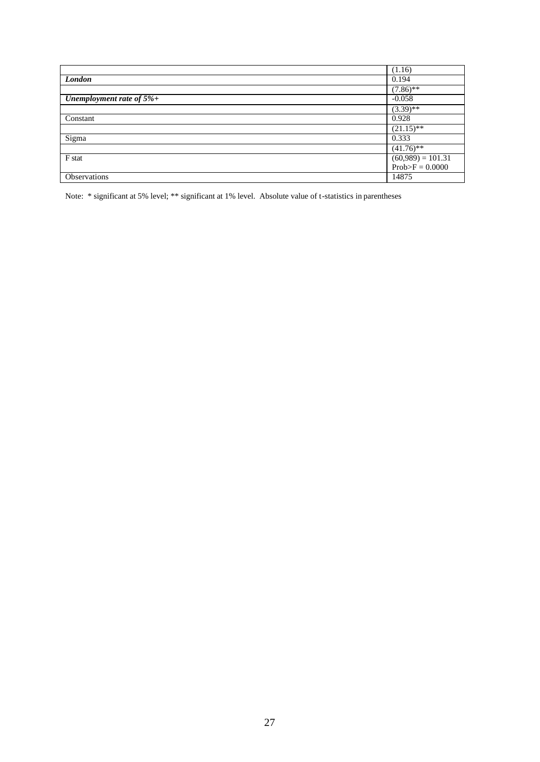|                              | (1.16)              |
|------------------------------|---------------------|
| London                       | 0.194               |
|                              | $(7.86)$ **         |
| Unemployment rate of $5\%$ + | $-0.058$            |
|                              | $(3.39)$ **         |
| Constant                     | 0.928               |
|                              | $(21.15)$ **        |
| Sigma                        | 0.333               |
|                              | $(41.76)$ **        |
| F stat                       | $(60,989) = 101.31$ |
|                              | $Prob>F = 0.0000$   |
| Observations                 | 14875               |

Note: \* significant at 5% level; \*\* significant at 1% level. Absolute value of t-statistics in parentheses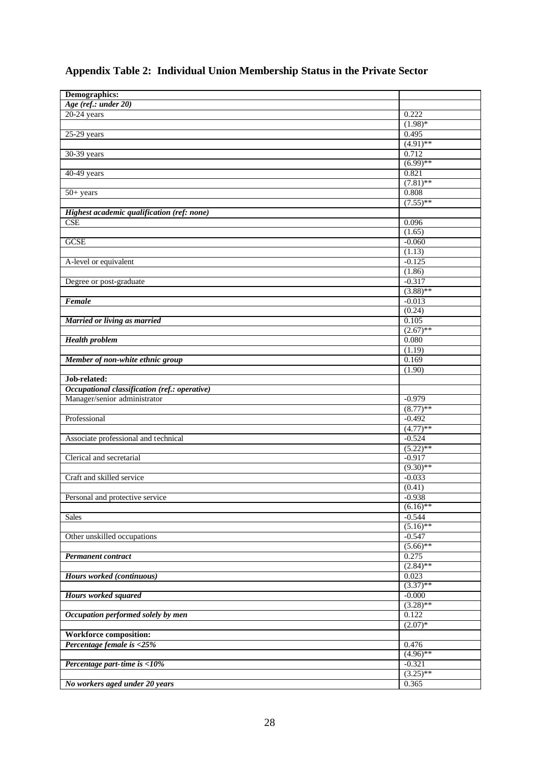| Demographics:                                 |                   |
|-----------------------------------------------|-------------------|
| Age (ref.: under 20)                          |                   |
| $20-24$ years                                 | 0.222             |
|                                               | $(1.98)*$         |
| $25-29$ years                                 | 0.495             |
|                                               | $(4.91)$ **       |
| 30-39 years                                   | 0.712             |
|                                               | $(6.99)$ **       |
| 40-49 years                                   | 0.821             |
|                                               | $(7.81)$ **       |
|                                               | 0.808             |
| $50+ years$                                   |                   |
|                                               | $(7.55)$ **       |
| Highest academic qualification (ref: none)    |                   |
| <b>CSE</b>                                    | 0.096             |
|                                               | (1.65)            |
| <b>GCSE</b>                                   | $-0.060$          |
|                                               | (1.13)            |
| A-level or equivalent                         | $-0.125$          |
|                                               | (1.86)            |
| Degree or post-graduate                       | $-0.317$          |
|                                               | $(3.88)$ **       |
| Female                                        | $-0.013$          |
|                                               | (0.24)            |
| Married or living as married                  | 0.105             |
|                                               | $(2.67)$ **       |
| <b>Health problem</b>                         | 0.080             |
|                                               | (1.19)            |
| Member of non-white ethnic group              | 0.169             |
|                                               | (1.90)            |
| Job-related:                                  |                   |
| Occupational classification (ref.: operative) |                   |
| Manager/senior administrator                  | $-0.979$          |
|                                               | $(8.77)$ **       |
| Professional                                  | $-0.492$          |
|                                               | $(4.77)**$        |
| Associate professional and technical          | $-0.524$          |
|                                               | $(5.22)$ **       |
| Clerical and secretarial                      | $-0.917$          |
|                                               | $(9.30)$ **       |
|                                               |                   |
| Craft and skilled service                     | $-0.033$          |
|                                               | (0.41)            |
| Personal and protective service               | $-0.938$          |
|                                               | $(6.16)$ **       |
| <b>Sales</b>                                  | $-0.544$          |
|                                               | $(5.16)$ **       |
| Other unskilled occupations                   | $-0.547$          |
|                                               | $(5.66)$ **       |
| <b>Permanent contract</b>                     | 0.275             |
|                                               | $(2.84)$ **       |
| Hours worked (continuous)                     | 0.023             |
|                                               | $(3.37)$ **       |
| <b>Hours worked squared</b>                   | $-0.000$          |
|                                               | $(3.28)$ **       |
| Occupation performed solely by men            | 0.122             |
|                                               | $(2.07)*$         |
| <b>Workforce composition:</b>                 |                   |
| Percentage female is <25%                     | 0.476             |
|                                               | $\sqrt{(4.96)**}$ |
| Percentage part-time is <10%                  | $-0.321$          |
|                                               | $(3.25)$ **       |
| No workers aged under 20 years                | 0.365             |
|                                               |                   |

# **Appendix Table 2: Individual Union Membership Status in the Private Sector**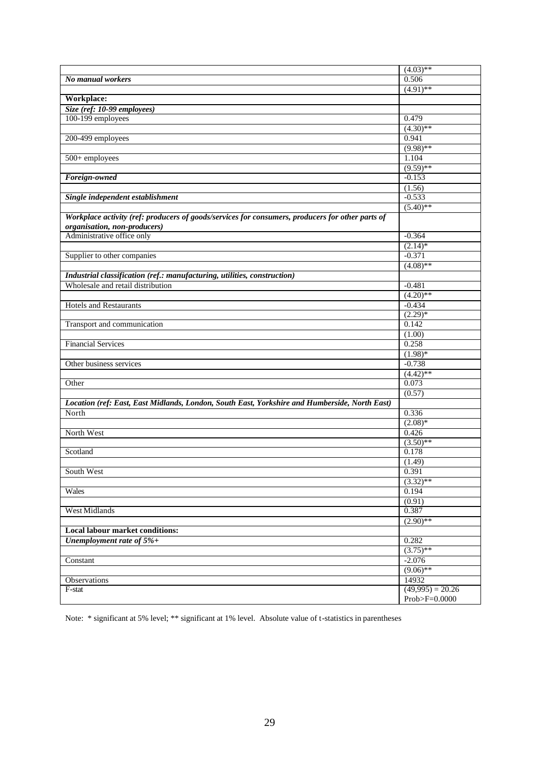|                                                                                                                                  | $(4.03)$ **           |
|----------------------------------------------------------------------------------------------------------------------------------|-----------------------|
| No manual workers                                                                                                                | 0.506                 |
|                                                                                                                                  | $(4.91)$ **           |
| Workplace:                                                                                                                       |                       |
| Size (ref: 10-99 employees)                                                                                                      |                       |
| 100-199 employees                                                                                                                | 0.479                 |
|                                                                                                                                  | $(4.30)$ **           |
| 200-499 employees                                                                                                                | 0.941                 |
|                                                                                                                                  | $(9.98)$ **           |
| 500+ employees                                                                                                                   | 1.104                 |
|                                                                                                                                  | $(9.59)$ **           |
| Foreign-owned                                                                                                                    | $-0.153$              |
|                                                                                                                                  | (1.56)                |
| Single independent establishment                                                                                                 | $-0.533$              |
|                                                                                                                                  | $(5.40)$ **           |
| Workplace activity (ref: producers of goods/services for consumers, producers for other parts of<br>organisation, non-producers) |                       |
| Administrative office only                                                                                                       | $-0.364$              |
|                                                                                                                                  | $(2.14)$ *            |
| Supplier to other companies                                                                                                      | $-0.371$              |
|                                                                                                                                  | $(4.08)$ **           |
| Industrial classification (ref.: manufacturing, utilities, construction)                                                         |                       |
| Wholesale and retail distribution                                                                                                | $-0.481$              |
|                                                                                                                                  | $(4.20)$ **           |
| <b>Hotels and Restaurants</b>                                                                                                    | $-0.434$              |
|                                                                                                                                  | $(2.29)*$             |
| Transport and communication                                                                                                      | 0.142                 |
|                                                                                                                                  | (1.00)                |
| <b>Financial Services</b>                                                                                                        | 0.258                 |
| Other business services                                                                                                          | $(1.98)*$<br>$-0.738$ |
|                                                                                                                                  | $(4.42)$ **           |
| Other                                                                                                                            | 0.073                 |
|                                                                                                                                  | (0.57)                |
| Location (ref: East, East Midlands, London, South East, Yorkshire and Humberside, North East)                                    |                       |
| North                                                                                                                            | 0.336                 |
|                                                                                                                                  | $(2.08)*$             |
| North West                                                                                                                       | 0.426                 |
|                                                                                                                                  | $(3.50)$ **           |
| Scotland                                                                                                                         | 0.178                 |
|                                                                                                                                  | (1.49)                |
| South West                                                                                                                       | 0.391                 |
|                                                                                                                                  | $(3.32)$ **           |
| Wales                                                                                                                            | 0.194                 |
|                                                                                                                                  | (0.91)                |
| West Midlands                                                                                                                    | 0.387                 |
|                                                                                                                                  | $(2.90)$ **           |
| <b>Local labour market conditions:</b>                                                                                           |                       |
| Unemployment rate of $5\%+$                                                                                                      | 0.282                 |
|                                                                                                                                  | $(3.75)$ **           |
| Constant                                                                                                                         | $-2.076$              |
|                                                                                                                                  | $(9.06)$ **           |
| Observations                                                                                                                     | 14932                 |
| F-stat                                                                                                                           | $(49,995) = 20.26$    |
|                                                                                                                                  | $Prob>F=0.0000$       |

Note: \* significant at 5% level; \*\* significant at 1% level. Absolute value of t-statistics in parentheses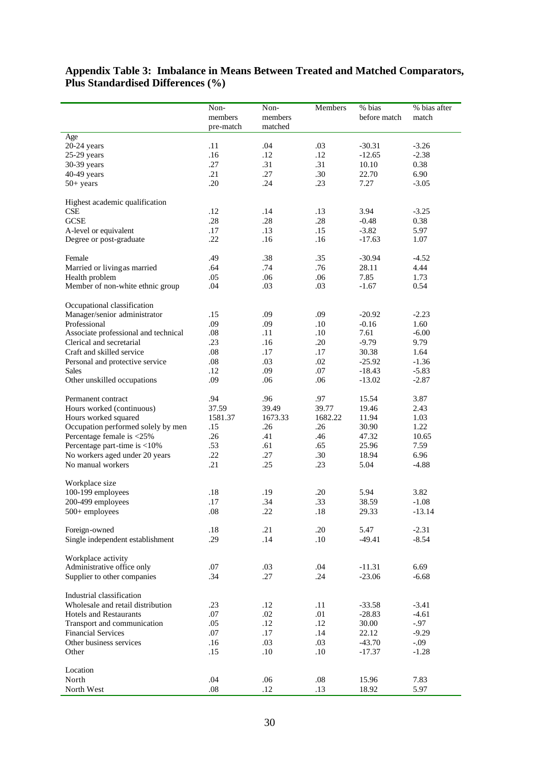#### **Appendix Table 3: Imbalance in Means Between Treated and Matched Comparators, Plus Standardised Differences (%)**

|                                                          | Non-       | Non-       | Members    | % bias             | % bias after      |
|----------------------------------------------------------|------------|------------|------------|--------------------|-------------------|
|                                                          | members    | members    |            | before match       | match             |
|                                                          | pre-match  | matched    |            |                    |                   |
| Age                                                      | .11        | .04        | .03        | $-30.31$           | $-3.26$           |
| 20-24 years<br>$25-29$ years                             | .16        | .12        | .12        | $-12.65$           | $-2.38$           |
| 30-39 years                                              | .27        | .31        | .31        | 10.10              | 0.38              |
| 40-49 years                                              | .21        | .27        | .30        | 22.70              | 6.90              |
| $50+ years$                                              | .20        | .24        | .23        | 7.27               | $-3.05$           |
|                                                          |            |            |            |                    |                   |
| Highest academic qualification                           |            |            |            |                    |                   |
| CSE                                                      | .12        | .14        | .13        | 3.94               | $-3.25$           |
| <b>GCSE</b>                                              | .28<br>.17 | .28<br>.13 | .28<br>.15 | $-0.48$<br>$-3.82$ | 0.38<br>5.97      |
| A-level or equivalent<br>Degree or post-graduate         | .22        | .16        | .16        | $-17.63$           | 1.07              |
|                                                          |            |            |            |                    |                   |
| Female                                                   | .49        | .38        | .35        | $-30.94$           | $-4.52$           |
| Married or living as married                             | .64        | .74        | .76        | 28.11              | 4.44              |
| Health problem                                           | .05        | .06        | .06        | 7.85               | 1.73              |
| Member of non-white ethnic group                         | .04        | .03        | .03        | $-1.67$            | 0.54              |
|                                                          |            |            |            |                    |                   |
| Occupational classification                              |            |            |            |                    |                   |
| Manager/senior administrator                             | .15        | .09        | .09        | $-20.92$           | $-2.23$           |
| Professional                                             | .09        | .09        | .10        | $-0.16$            | 1.60              |
| Associate professional and technical                     | .08        | .11        | .10        | 7.61               | $-6.00$           |
| Clerical and secretarial                                 | .23        | .16        | .20        | $-9.79$            | 9.79              |
| Craft and skilled service                                | .08        | .17        | .17        | 30.38              | 1.64              |
| Personal and protective service                          | .08        | .03        | .02        | $-25.92$           | $-1.36$           |
| <b>Sales</b>                                             | .12        | .09        | .07        | $-18.43$           | $-5.83$           |
| Other unskilled occupations                              | .09        | .06        | .06        | $-13.02$           | $-2.87$           |
| Permanent contract                                       | .94        | .96        | .97        | 15.54              | 3.87              |
| Hours worked (continuous)                                | 37.59      | 39.49      | 39.77      | 19.46              | 2.43              |
| Hours worked squared                                     | 1581.37    | 1673.33    | 1682.22    | 11.94              | 1.03              |
| Occupation performed solely by men                       | .15        | .26        | .26        | 30.90              | 1.22              |
| Percentage female is <25%                                | .26        | .41        | .46        | 47.32              | 10.65             |
| Percentage part-time is <10%                             | .53        | .61        | .65        | 25.96              | 7.59              |
| No workers aged under 20 years                           | .22        | .27        | .30        | 18.94              | 6.96              |
| No manual workers                                        | .21        | .25        | .23        | 5.04               | $-4.88$           |
|                                                          |            |            |            |                    |                   |
| Workplace size                                           |            |            |            |                    |                   |
| 100-199 employees                                        | .18        | .19        | .20        | 5.94               | 3.82              |
| 200-499 employees                                        | .17        | .34        | .33        | 38.59              | $-1.08$           |
| 500+ employees                                           | $.08\,$    | .22        | .18        | 29.33              | $-13.14$          |
| Foreign-owned                                            | .18        | .21        | .20        | 5.47               | $-2.31$           |
| Single independent establishment                         | .29        | .14        | .10        | $-49.41$           | $-8.54$           |
|                                                          |            |            |            |                    |                   |
| Workplace activity                                       |            |            |            |                    |                   |
| Administrative office only                               | .07        | .03        | .04        | $-11.31$           | 6.69              |
| Supplier to other companies                              | .34        | .27        | .24        | $-23.06$           | $-6.68$           |
|                                                          |            |            |            |                    |                   |
| Industrial classification                                |            |            |            |                    |                   |
| Wholesale and retail distribution                        | .23        | .12        | .11        | $-33.58$           | $-3.41$           |
| <b>Hotels and Restaurants</b>                            | .07<br>.05 | .02<br>.12 | .01<br>.12 | $-28.83$<br>30.00  | $-4.61$<br>$-.97$ |
| Transport and communication<br><b>Financial Services</b> | .07        | .17        | .14        | 22.12              | $-9.29$           |
| Other business services                                  | .16        | .03        | .03        | $-43.70$           | $-0.09$           |
| Other                                                    | .15        | .10        | .10        |                    | $-1.28$           |
|                                                          |            |            |            | $-17.37$           |                   |
| Location                                                 |            |            |            |                    |                   |
| North                                                    | .04        | .06        | .08        | 15.96              | 7.83              |
| North West                                               | .08        | .12        | .13        | 18.92              | 5.97              |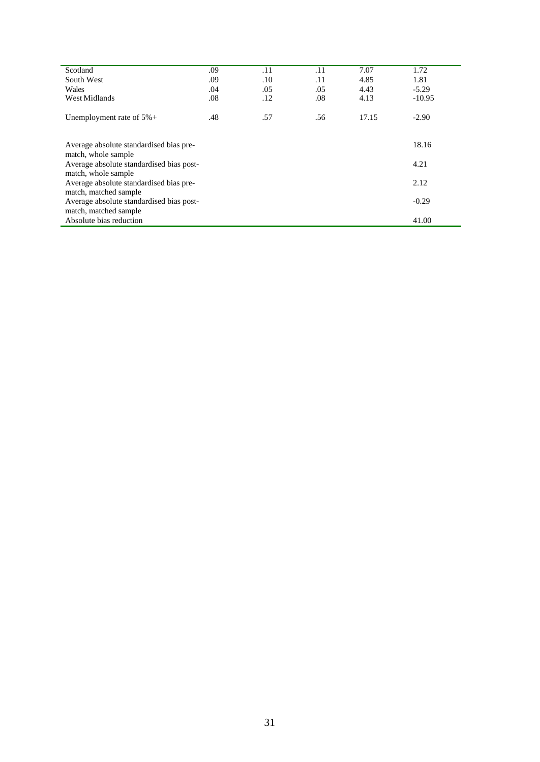| Scotland                                                        | .09 | .11 | .11 | 7.07  | 1.72     |
|-----------------------------------------------------------------|-----|-----|-----|-------|----------|
| South West                                                      | .09 | .10 | .11 | 4.85  | 1.81     |
| Wales                                                           | .04 | .05 | .05 | 4.43  | $-5.29$  |
| West Midlands                                                   | .08 | .12 | .08 | 4.13  | $-10.95$ |
| Unemployment rate of $5\%$ +                                    | .48 | .57 | .56 | 17.15 | $-2.90$  |
| Average absolute standardised bias pre-                         |     |     |     |       | 18.16    |
| match, whole sample<br>Average absolute standardised bias post- |     |     |     | 4.21  |          |
| match, whole sample                                             |     |     |     |       |          |
| Average absolute standardised bias pre-<br>2.12                 |     |     |     |       |          |
| match, matched sample                                           |     |     |     |       |          |
| Average absolute standardised bias post-<br>$-0.29$             |     |     |     |       |          |
| match, matched sample                                           |     |     |     |       |          |
| Absolute bias reduction<br>41.00                                |     |     |     |       |          |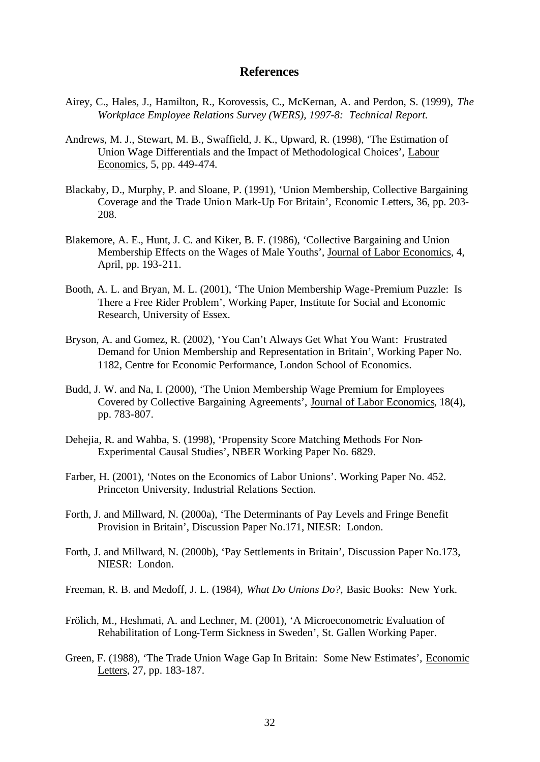#### **References**

- Airey, C., Hales, J., Hamilton, R., Korovessis, C., McKernan, A. and Perdon, S. (1999), *The Workplace Employee Relations Survey (WERS), 1997-8: Technical Report.*
- Andrews, M. J., Stewart, M. B., Swaffield, J. K., Upward, R. (1998), 'The Estimation of Union Wage Differentials and the Impact of Methodological Choices', Labour Economics, 5, pp. 449-474.
- Blackaby, D., Murphy, P. and Sloane, P. (1991), 'Union Membership, Collective Bargaining Coverage and the Trade Union Mark-Up For Britain', Economic Letters, 36, pp. 203- 208.
- Blakemore, A. E., Hunt, J. C. and Kiker, B. F. (1986), 'Collective Bargaining and Union Membership Effects on the Wages of Male Youths', Journal of Labor Economics, 4, April, pp. 193-211.
- Booth, A. L. and Bryan, M. L. (2001), 'The Union Membership Wage-Premium Puzzle: Is There a Free Rider Problem', Working Paper, Institute for Social and Economic Research, University of Essex.
- Bryson, A. and Gomez, R. (2002), 'You Can't Always Get What You Want: Frustrated Demand for Union Membership and Representation in Britain', Working Paper No. 1182, Centre for Economic Performance, London School of Economics.
- Budd, J. W. and Na, I. (2000), 'The Union Membership Wage Premium for Employees Covered by Collective Bargaining Agreements', Journal of Labor Economics, 18(4), pp. 783-807.
- Dehejia, R. and Wahba, S. (1998), 'Propensity Score Matching Methods For Non-Experimental Causal Studies', NBER Working Paper No. 6829.
- Farber, H. (2001), 'Notes on the Economics of Labor Unions'. Working Paper No. 452. Princeton University, Industrial Relations Section.
- Forth, J. and Millward, N. (2000a), 'The Determinants of Pay Levels and Fringe Benefit Provision in Britain', Discussion Paper No.171, NIESR: London.
- Forth, J. and Millward, N. (2000b), 'Pay Settlements in Britain', Discussion Paper No.173, NIESR: London.
- Freeman, R. B. and Medoff, J. L. (1984), *What Do Unions Do?*, Basic Books: New York.
- Frölich, M., Heshmati, A. and Lechner, M. (2001), 'A Microeconometric Evaluation of Rehabilitation of Long-Term Sickness in Sweden', St. Gallen Working Paper.
- Green, F. (1988), 'The Trade Union Wage Gap In Britain: Some New Estimates', Economic Letters, 27, pp. 183-187.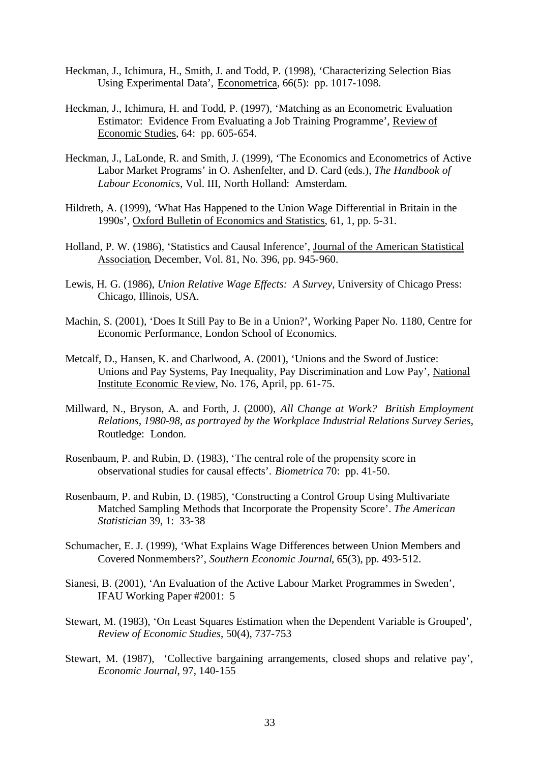- Heckman, J., Ichimura, H., Smith, J. and Todd, P. (1998), 'Characterizing Selection Bias Using Experimental Data', Econometrica, 66(5): pp. 1017-1098.
- Heckman, J., Ichimura, H. and Todd, P. (1997), 'Matching as an Econometric Evaluation Estimator: Evidence From Evaluating a Job Training Programme', Review of Economic Studies, 64: pp. 605-654.
- Heckman, J., LaLonde, R. and Smith, J. (1999), 'The Economics and Econometrics of Active Labor Market Programs' in O. Ashenfelter, and D. Card (eds.), *The Handbook of Labour Economics*, Vol. III, North Holland: Amsterdam.
- Hildreth, A. (1999), 'What Has Happened to the Union Wage Differential in Britain in the 1990s', Oxford Bulletin of Economics and Statistics, 61, 1, pp. 5-31.
- Holland, P. W. (1986), 'Statistics and Causal Inference', Journal of the American Statistical Association, December, Vol. 81, No. 396, pp. 945-960.
- Lewis, H. G. (1986), *Union Relative Wage Effects: A Survey*, University of Chicago Press: Chicago, Illinois, USA.
- Machin, S. (2001), 'Does It Still Pay to Be in a Union?', Working Paper No. 1180, Centre for Economic Performance, London School of Economics.
- Metcalf, D., Hansen, K. and Charlwood, A. (2001), 'Unions and the Sword of Justice: Unions and Pay Systems, Pay Inequality, Pay Discrimination and Low Pay', National Institute Economic Review, No. 176, April, pp. 61-75.
- Millward, N., Bryson, A. and Forth, J. (2000), *All Change at Work? British Employment Relations, 1980-98, as portrayed by the Workplace Industrial Relations Survey Series*, Routledge: London.
- Rosenbaum, P. and Rubin, D. (1983), 'The central role of the propensity score in observational studies for causal effects'. *Biometrica* 70: pp. 41-50.
- Rosenbaum, P. and Rubin, D. (1985), 'Constructing a Control Group Using Multivariate Matched Sampling Methods that Incorporate the Propensity Score'. *The American Statistician* 39, 1: 33-38
- Schumacher, E. J. (1999), 'What Explains Wage Differences between Union Members and Covered Nonmembers?', *Southern Economic Journal*, 65(3), pp. 493-512.
- Sianesi, B. (2001), 'An Evaluation of the Active Labour Market Programmes in Sweden', IFAU Working Paper #2001: 5
- Stewart, M. (1983), 'On Least Squares Estimation when the Dependent Variable is Grouped', *Review of Economic Studies*, 50(4), 737-753
- Stewart, M. (1987), 'Collective bargaining arrangements, closed shops and relative pay', *Economic Journal*, 97, 140-155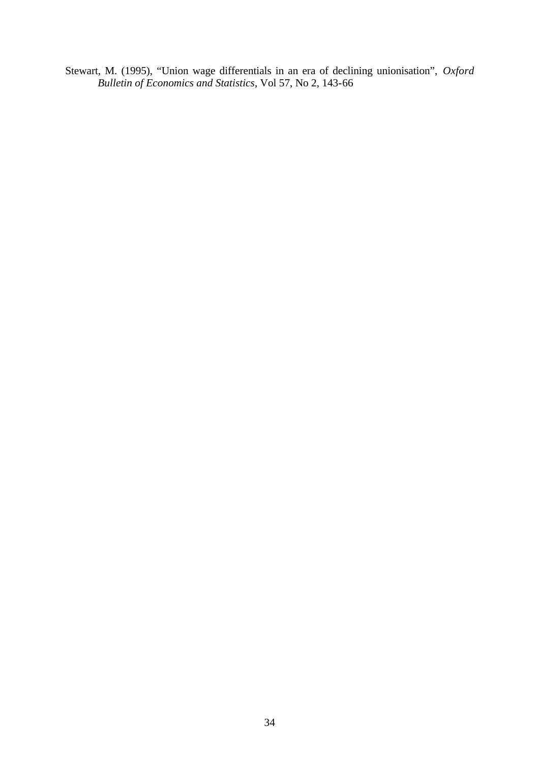Stewart, M. (1995), "Union wage differentials in an era of declining unionisation", *Oxford Bulletin of Economics and Statistics*, Vol 57, No 2, 143-66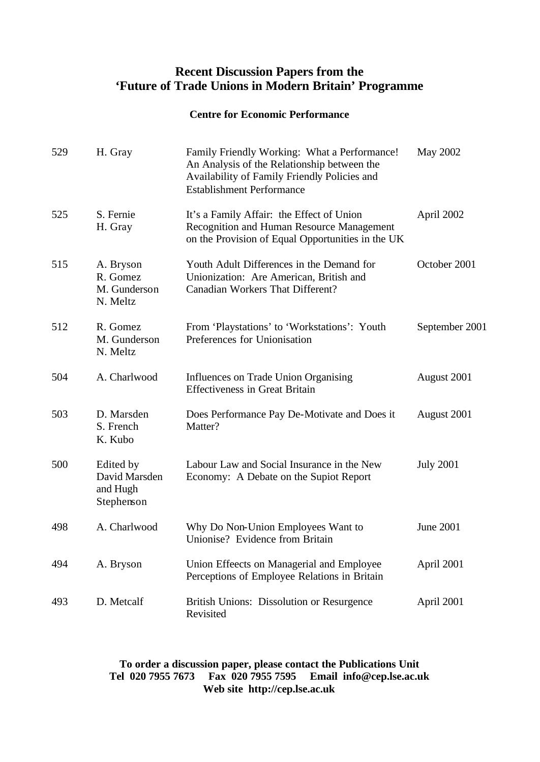# **Recent Discussion Papers from the 'Future of Trade Unions in Modern Britain' Programme**

#### **Centre for Economic Performance**

| 529 | H. Gray                                              | Family Friendly Working: What a Performance!<br>An Analysis of the Relationship between the<br>Availability of Family Friendly Policies and<br><b>Establishment Performance</b> | May 2002         |
|-----|------------------------------------------------------|---------------------------------------------------------------------------------------------------------------------------------------------------------------------------------|------------------|
| 525 | S. Fernie<br>H. Gray                                 | It's a Family Affair: the Effect of Union<br>Recognition and Human Resource Management<br>on the Provision of Equal Opportunities in the UK                                     | April 2002       |
| 515 | A. Bryson<br>R. Gomez<br>M. Gunderson<br>N. Meltz    | Youth Adult Differences in the Demand for<br>Unionization: Are American, British and<br>Canadian Workers That Different?                                                        | October 2001     |
| 512 | R. Gomez<br>M. Gunderson<br>N. Meltz                 | From 'Playstations' to 'Workstations': Youth<br>Preferences for Unionisation                                                                                                    | September 2001   |
| 504 | A. Charlwood                                         | Influences on Trade Union Organising<br><b>Effectiveness in Great Britain</b>                                                                                                   | August 2001      |
| 503 | D. Marsden<br>S. French<br>K. Kubo                   | Does Performance Pay De-Motivate and Does it<br>Matter?                                                                                                                         | August 2001      |
| 500 | Edited by<br>David Marsden<br>and Hugh<br>Stephenson | Labour Law and Social Insurance in the New<br>Economy: A Debate on the Supiot Report                                                                                            | <b>July 2001</b> |
| 498 | A. Charlwood                                         | Why Do Non-Union Employees Want to<br>Unionise? Evidence from Britain                                                                                                           | <b>June 2001</b> |
| 494 | A. Bryson                                            | Union Effeects on Managerial and Employee<br>Perceptions of Employee Relations in Britain                                                                                       | April 2001       |
| 493 | D. Metcalf                                           | British Unions: Dissolution or Resurgence<br>Revisited                                                                                                                          | April 2001       |

## **To order a discussion paper, please contact the Publications Unit Tel 020 7955 7673 Fax 020 7955 7595 Email info@cep.lse.ac.uk Web site http://cep.lse.ac.uk**